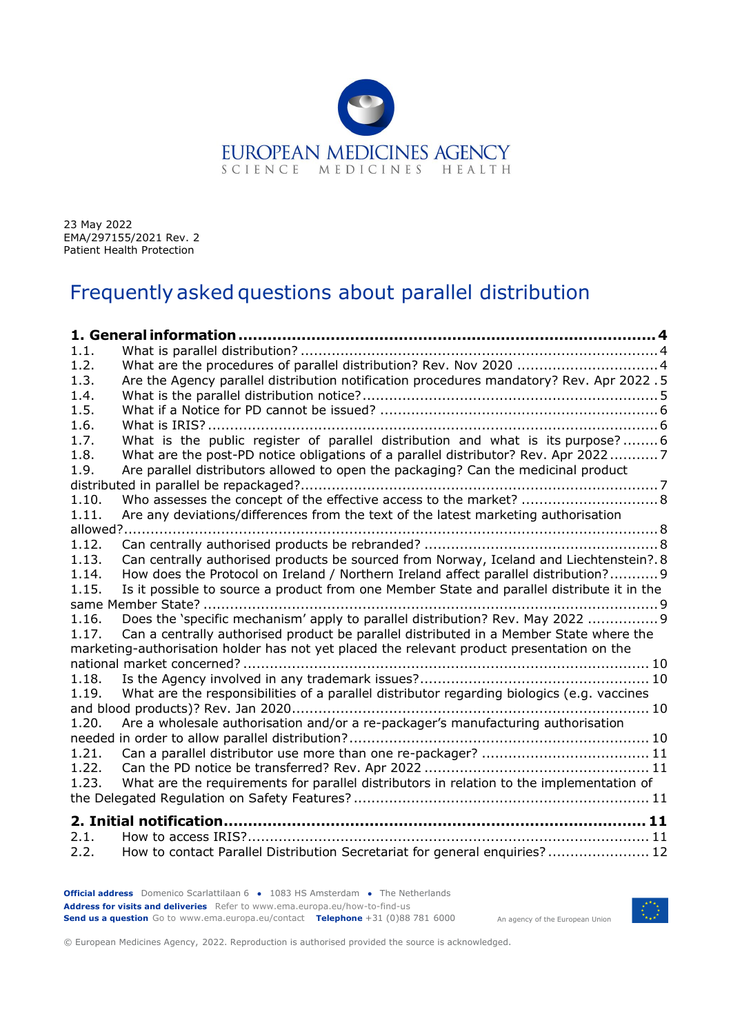

23 May 2022 EMA/297155/2021 Rev. 2 Patient Health Protection

# Frequently asked questions about parallel distribution

| 1.1.  |                                                                                                                                                                                      |  |
|-------|--------------------------------------------------------------------------------------------------------------------------------------------------------------------------------------|--|
| 1.2.  |                                                                                                                                                                                      |  |
| 1.3.  | Are the Agency parallel distribution notification procedures mandatory? Rev. Apr 2022 .5                                                                                             |  |
| 1.4.  |                                                                                                                                                                                      |  |
| 1.5.  |                                                                                                                                                                                      |  |
| 1.6.  |                                                                                                                                                                                      |  |
| 1.7.  | What is the public register of parallel distribution and what is its purpose?6                                                                                                       |  |
| 1.8.  | What are the post-PD notice obligations of a parallel distributor? Rev. Apr 20227                                                                                                    |  |
| 1.9.  | Are parallel distributors allowed to open the packaging? Can the medicinal product                                                                                                   |  |
|       |                                                                                                                                                                                      |  |
| 1.10. | Who assesses the concept of the effective access to the market?  8                                                                                                                   |  |
| 1.11. | Are any deviations/differences from the text of the latest marketing authorisation                                                                                                   |  |
|       |                                                                                                                                                                                      |  |
| 1.12. |                                                                                                                                                                                      |  |
| 1.13. | Can centrally authorised products be sourced from Norway, Iceland and Liechtenstein?.8                                                                                               |  |
| 1.14. | How does the Protocol on Ireland / Northern Ireland affect parallel distribution? 9                                                                                                  |  |
| 1.15. | Is it possible to source a product from one Member State and parallel distribute it in the                                                                                           |  |
|       | same Member State?                                                                                                                                                                   |  |
| 1.16. | Does the 'specific mechanism' apply to parallel distribution? Rev. May 2022  9                                                                                                       |  |
| 1.17. | Can a centrally authorised product be parallel distributed in a Member State where the<br>marketing-authorisation holder has not yet placed the relevant product presentation on the |  |
|       |                                                                                                                                                                                      |  |
| 1.18. |                                                                                                                                                                                      |  |
| 1.19. | What are the responsibilities of a parallel distributor regarding biologics (e.g. vaccines                                                                                           |  |
|       |                                                                                                                                                                                      |  |
| 1.20. | Are a wholesale authorisation and/or a re-packager's manufacturing authorisation                                                                                                     |  |
|       |                                                                                                                                                                                      |  |
| 1.21. |                                                                                                                                                                                      |  |
| 1.22. |                                                                                                                                                                                      |  |
| 1.23. | What are the requirements for parallel distributors in relation to the implementation of                                                                                             |  |
|       |                                                                                                                                                                                      |  |
|       |                                                                                                                                                                                      |  |
| 2.1.  |                                                                                                                                                                                      |  |
| 2.2.  | How to contact Parallel Distribution Secretariat for general enguiries? 12                                                                                                           |  |

**Official address** Domenico Scarlattilaan 6 **●** 1083 HS Amsterdam **●** The Netherlands An agency of the European Union **Address for visits and deliveries** Refer to www.ema.europa.eu/how-to-find-us **Send us a question** Go to www.ema.europa.eu/contact **Telephone** +31 (0)88 781 6000



© European Medicines Agency, 2022. Reproduction is authorised provided the source is acknowledged.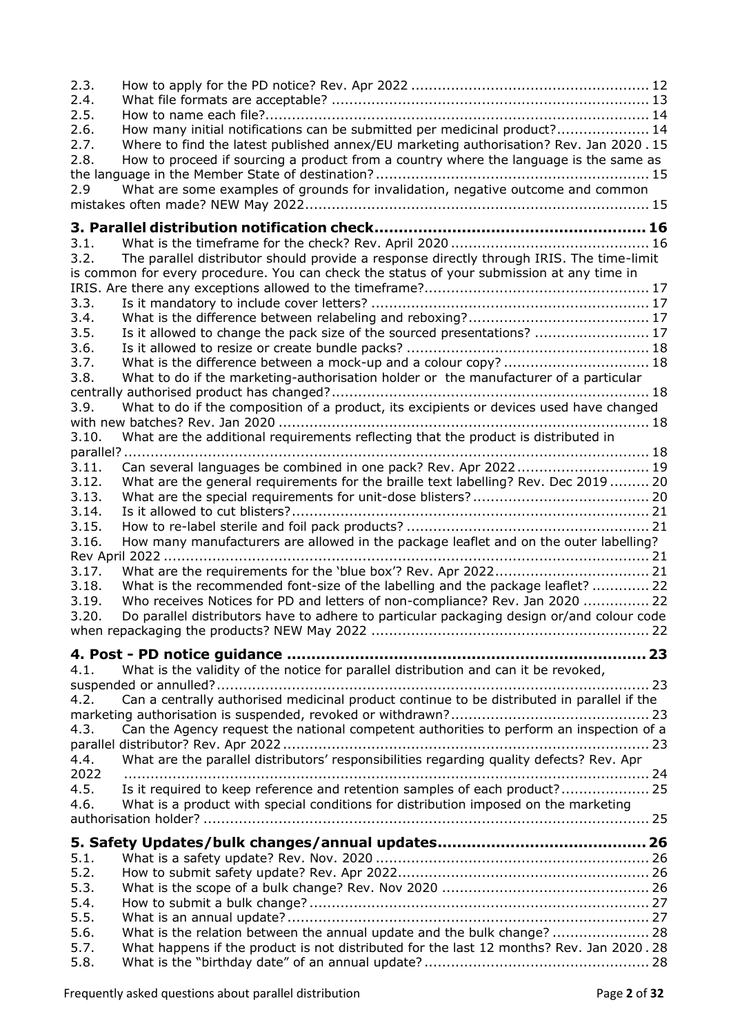| 2.3.         |                                                                                                                                                                    |  |
|--------------|--------------------------------------------------------------------------------------------------------------------------------------------------------------------|--|
| 2.4.<br>2.5. |                                                                                                                                                                    |  |
| 2.6.         | How many initial notifications can be submitted per medicinal product? 14                                                                                          |  |
| 2.7.         | Where to find the latest published annex/EU marketing authorisation? Rev. Jan 2020.15                                                                              |  |
| 2.8.         | How to proceed if sourcing a product from a country where the language is the same as                                                                              |  |
|              |                                                                                                                                                                    |  |
| 2.9          | What are some examples of grounds for invalidation, negative outcome and common                                                                                    |  |
|              |                                                                                                                                                                    |  |
|              |                                                                                                                                                                    |  |
| 3.1.         |                                                                                                                                                                    |  |
| 3.2.         | The parallel distributor should provide a response directly through IRIS. The time-limit                                                                           |  |
|              | is common for every procedure. You can check the status of your submission at any time in                                                                          |  |
|              |                                                                                                                                                                    |  |
| 3.3.         |                                                                                                                                                                    |  |
| 3.4.         |                                                                                                                                                                    |  |
| 3.5.         | Is it allowed to change the pack size of the sourced presentations?  17                                                                                            |  |
| 3.6.         |                                                                                                                                                                    |  |
| 3.7.         | What is the difference between a mock-up and a colour copy?  18                                                                                                    |  |
| 3.8.         | What to do if the marketing-authorisation holder or the manufacturer of a particular                                                                               |  |
|              |                                                                                                                                                                    |  |
| 3.9.         | What to do if the composition of a product, its excipients or devices used have changed                                                                            |  |
|              |                                                                                                                                                                    |  |
| 3.10.        | What are the additional requirements reflecting that the product is distributed in                                                                                 |  |
| parallel?    |                                                                                                                                                                    |  |
| 3.11.        | Can several languages be combined in one pack? Rev. Apr 2022 19                                                                                                    |  |
| 3.12.        | What are the general requirements for the braille text labelling? Rev. Dec 2019 20                                                                                 |  |
| 3.13.        |                                                                                                                                                                    |  |
| 3.14.        |                                                                                                                                                                    |  |
| 3.15.        |                                                                                                                                                                    |  |
| 3.16.        | How many manufacturers are allowed in the package leaflet and on the outer labelling?                                                                              |  |
|              |                                                                                                                                                                    |  |
| 3.17.        |                                                                                                                                                                    |  |
| 3.18.        | What is the recommended font-size of the labelling and the package leaflet?  22                                                                                    |  |
| 3.19.        | Who receives Notices for PD and letters of non-compliance? Rev. Jan 2020  22                                                                                       |  |
| 3.20.        | Do parallel distributors have to adhere to particular packaging design or/and colour code                                                                          |  |
|              |                                                                                                                                                                    |  |
|              |                                                                                                                                                                    |  |
| 4.1.         | What is the validity of the notice for parallel distribution and can it be revoked,                                                                                |  |
|              |                                                                                                                                                                    |  |
| 4.2.         | Can a centrally authorised medicinal product continue to be distributed in parallel if the                                                                         |  |
|              |                                                                                                                                                                    |  |
| 4.3.         | Can the Agency request the national competent authorities to perform an inspection of a                                                                            |  |
|              |                                                                                                                                                                    |  |
| 4.4.         | What are the parallel distributors' responsibilities regarding quality defects? Rev. Apr                                                                           |  |
| 2022<br>4.5. | Is it required to keep reference and retention samples of each product? 25                                                                                         |  |
| 4.6.         | What is a product with special conditions for distribution imposed on the marketing                                                                                |  |
|              |                                                                                                                                                                    |  |
|              |                                                                                                                                                                    |  |
|              |                                                                                                                                                                    |  |
| 5.1.         |                                                                                                                                                                    |  |
| 5.2.         |                                                                                                                                                                    |  |
| 5.3.         |                                                                                                                                                                    |  |
| 5.4.         |                                                                                                                                                                    |  |
| 5.5.         |                                                                                                                                                                    |  |
| 5.6.<br>5.7. | What is the relation between the annual update and the bulk change?  28<br>What happens if the product is not distributed for the last 12 months? Rev. Jan 2020.28 |  |
| 5.8.         |                                                                                                                                                                    |  |
|              |                                                                                                                                                                    |  |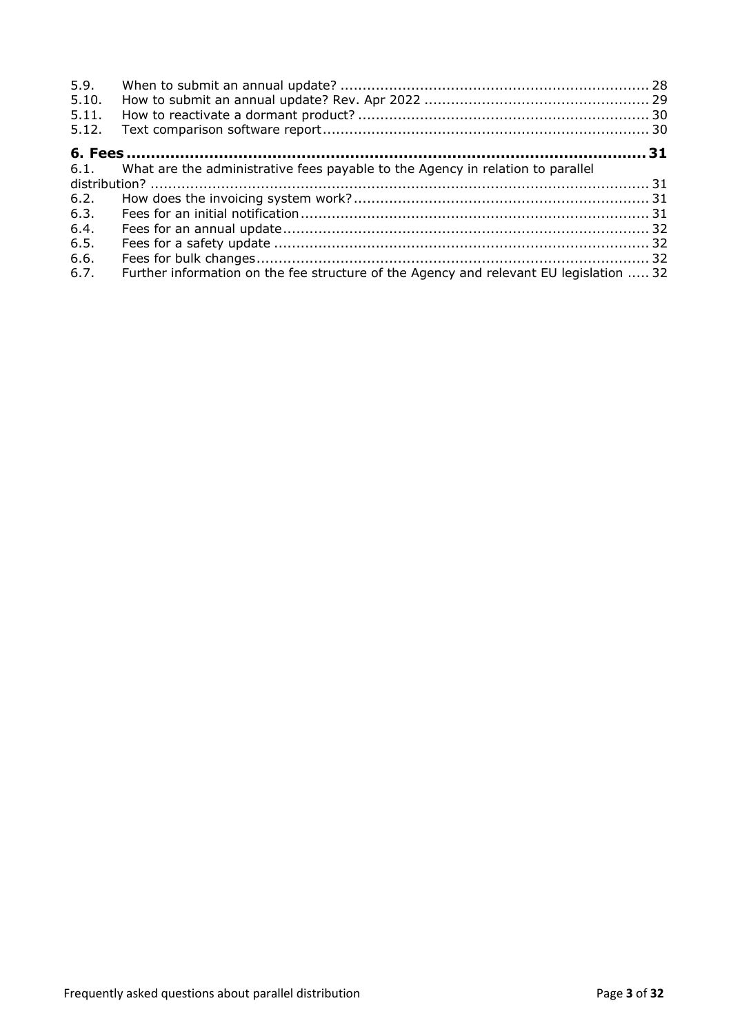| 5.9.<br>5.10.<br>5.11.<br>5.12. |                                                                                        |  |
|---------------------------------|----------------------------------------------------------------------------------------|--|
|                                 |                                                                                        |  |
|                                 | 6.1. What are the administrative fees payable to the Agency in relation to parallel    |  |
|                                 |                                                                                        |  |
| 6.2.                            |                                                                                        |  |
| 6.3.                            |                                                                                        |  |
| 6.4.                            |                                                                                        |  |
| 6.5.                            |                                                                                        |  |
| 6.6.                            |                                                                                        |  |
| 6.7.                            | Further information on the fee structure of the Agency and relevant EU legislation  32 |  |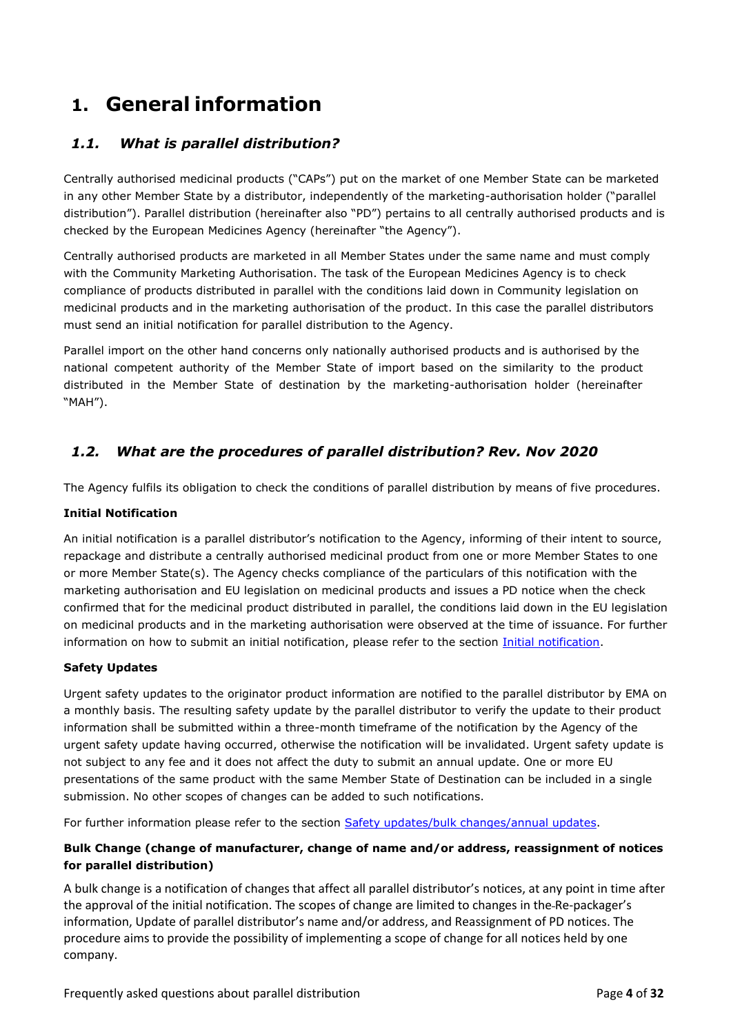# <span id="page-3-0"></span>**1. General information**

# <span id="page-3-1"></span>*1.1. What is parallel distribution?*

Centrally authorised medicinal products ("CAPs") put on the market of one Member State can be marketed in any other Member State by a distributor, independently of the marketing-authorisation holder ("parallel distribution"). Parallel distribution (hereinafter also "PD") pertains to all centrally authorised products and is checked by the European Medicines Agency (hereinafter "the Agency").

Centrally authorised products are marketed in all Member States under the same name and must comply with the Community Marketing Authorisation. The task of the European Medicines Agency is to check compliance of products distributed in parallel with the conditions laid down in Community legislation on medicinal products and in the marketing authorisation of the product. In this case the parallel distributors must send an initial notification for parallel distribution to the Agency.

Parallel import on the other hand concerns only nationally authorised products and is authorised by the national competent authority of the Member State of import based on the similarity to the product distributed in the Member State of destination by the marketing-authorisation holder (hereinafter "MAH").

# <span id="page-3-2"></span>*1.2. What are the procedures of parallel distribution? Rev. Nov 2020*

The Agency fulfils its obligation to check the conditions of parallel distribution by means of five procedures.

#### **Initial Notification**

An initial notification is a parallel distributor's notification to the Agency, informing of their intent to source, repackage and distribute a centrally authorised medicinal product from one or more Member States to one or more Member State(s). The Agency checks compliance of the particulars of this notification with the marketing authorisation and EU legislation on medicinal products and issues a PD notice when the check confirmed that for the medicinal product distributed in parallel, the conditions laid down in the EU legislation on medicinal products and in the marketing authorisation were observed at the time of issuance. For further information on how to submit an initial notification, please refer to the section *Initial notification*.

#### **Safety Updates**

Urgent safety updates to the originator product information are notified to the parallel distributor by EMA on a monthly basis. The resulting safety update by the parallel distributor to verify the update to their product information shall be submitted within a three-month timeframe of the notification by the Agency of the urgent safety update having occurred, otherwise the notification will be invalidated. Urgent safety update is not subject to any fee and it does not affect the duty to submit an annual update. One or more EU presentations of the same product with the same Member State of Destination can be included in a single submission. No other scopes of changes can be added to such notifications.

For further information please refer to the section [Safety updates/bulk changes/annual updates.](#page-25-0)

### **Bulk Change (change of manufacturer, change of name and/or address, reassignment of notices for parallel distribution)**

A bulk change is a notification of changes that affect all parallel distributor's notices, at any point in time after the approval of the initial notification. The scopes of change are limited to changes in the Re-packager's information, Update of parallel distributor's name and/or address, and Reassignment of PD notices. The procedure aims to provide the possibility of implementing a scope of change for all notices held by one company.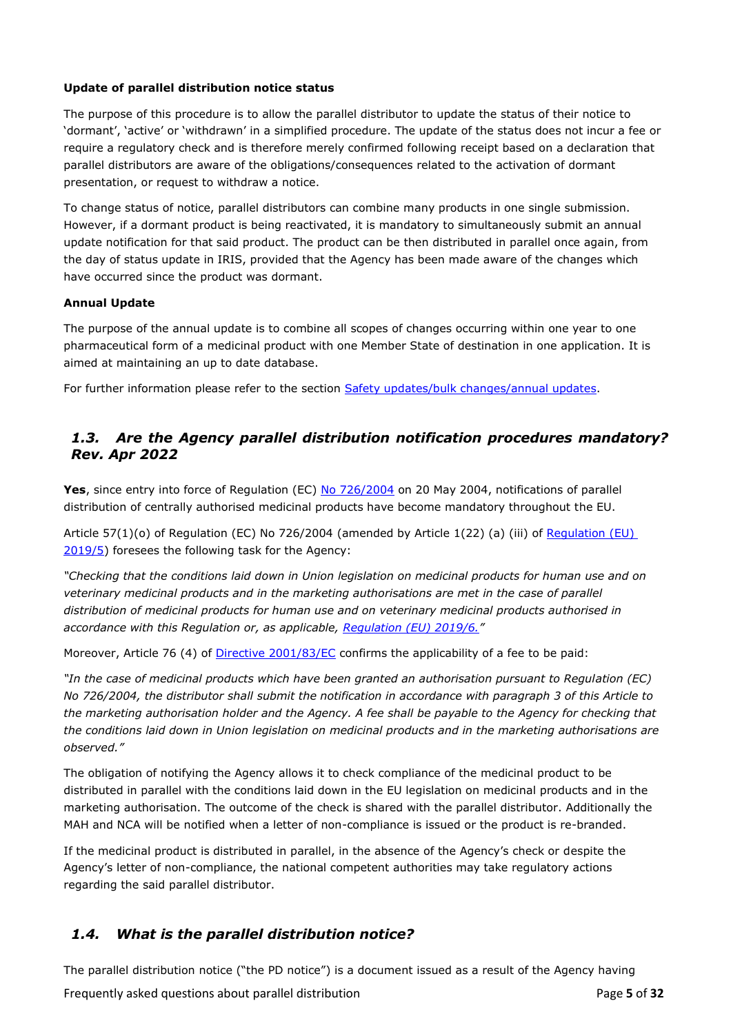#### **Update of parallel distribution notice status**

The purpose of this procedure is to allow the parallel distributor to update the status of their notice to 'dormant', 'active' or 'withdrawn' in a simplified procedure. The update of the status does not incur a fee or require a regulatory check and is therefore merely confirmed following receipt based on a declaration that parallel distributors are aware of the obligations/consequences related to the activation of dormant presentation, or request to withdraw a notice.

To change status of notice, parallel distributors can combine many products in one single submission. However, if a dormant product is being reactivated, it is mandatory to simultaneously submit an annual update notification for that said product. The product can be then distributed in parallel once again, from the day of status update in IRIS, provided that the Agency has been made aware of the changes which have occurred since the product was dormant.

#### **Annual Update**

The purpose of the annual update is to combine all scopes of changes occurring within one year to one pharmaceutical form of a medicinal product with one Member State of destination in one application. It is aimed at maintaining an up to date database.

For further information please refer to the section [Safety updates/bulk changes/annual updates.](#page-25-0)

### <span id="page-4-0"></span>*1.3. Are the Agency parallel distribution notification procedures mandatory? Rev. Apr 2022*

**Yes**, since entry into force of Regulation (EC) [No 726/2004](https://eur-lex.europa.eu/legal-content/EN/TXT/?uri=CELEX%3A02004R0726-20220128&qid=1647265142080) on 20 May 2004, notifications of parallel distribution of centrally authorised medicinal products have become mandatory throughout the EU.

Article 57(1)(o) of Regulation (EC) No 726/2004 (amended by Article 1(22) (a) (iii) of Regulation (EU) [2019/5\)](https://eur-lex.europa.eu/eli/reg/2019/5/oj) foresees the following task for the Agency:

*"Checking that the conditions laid down in Union legislation on medicinal products for human use and on veterinary medicinal products and in the marketing authorisations are met in the case of parallel distribution of medicinal products for human use and on veterinary medicinal products authorised in accordance with this Regulation or, as applicable, [Regulation \(EU\) 2019/6.](https://eur-lex.europa.eu/legal-content/EN/TXT/?uri=CELEX%3A02019R0006-20220128)"*

Moreover, Article 76 (4) of [Directive 2001/83/EC](https://eur-lex.europa.eu/legal-content/EN/TXT/?uri=CELEX%3A02001L0083-20210526) confirms the applicability of a fee to be paid:

*"In the case of medicinal products which have been granted an authorisation pursuant to Regulation (EC) No 726/2004, the distributor shall submit the notification in accordance with paragraph 3 of this Article to the marketing authorisation holder and the Agency. A fee shall be payable to the Agency for checking that the conditions laid down in Union legislation on medicinal products and in the marketing authorisations are observed."*

The obligation of notifying the Agency allows it to check compliance of the medicinal product to be distributed in parallel with the conditions laid down in the EU legislation on medicinal products and in the marketing authorisation. The outcome of the check is shared with the parallel distributor. Additionally the MAH and NCA will be notified when a letter of non-compliance is issued or the product is re-branded.

If the medicinal product is distributed in parallel, in the absence of the Agency's check or despite the Agency's letter of non-compliance, the national competent authorities may take regulatory actions regarding the said parallel distributor.

# <span id="page-4-1"></span>*1.4. What is the parallel distribution notice?*

The parallel distribution notice ("the PD notice") is a document issued as a result of the Agency having

Frequently asked questions about parallel distribution Page **5** of **32**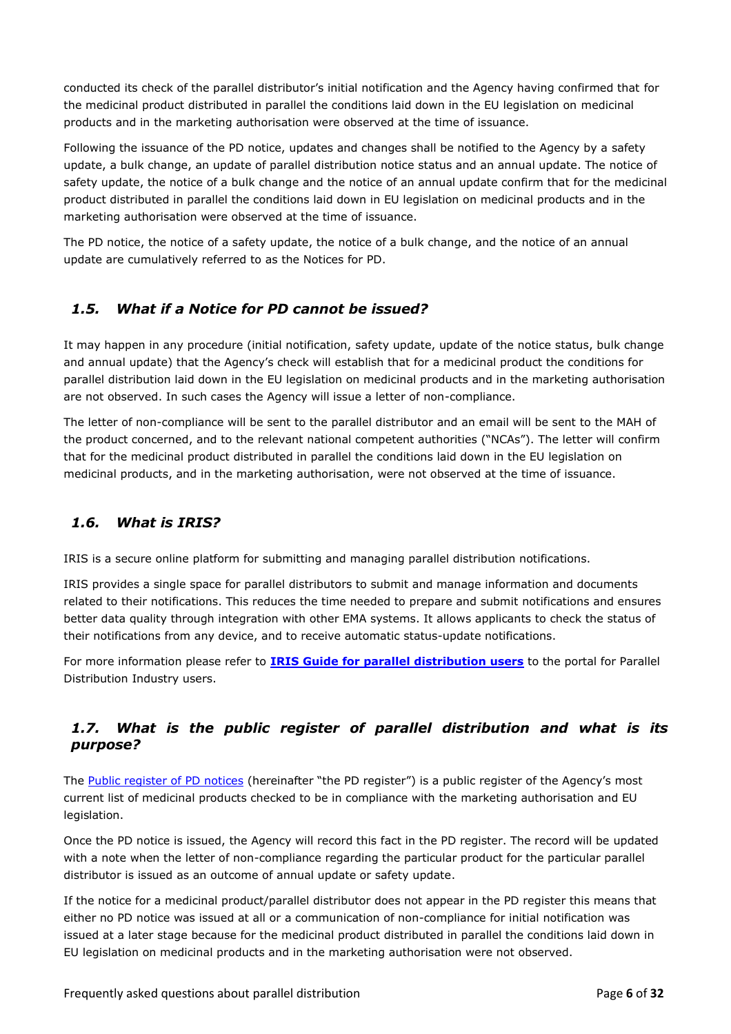conducted its check of the parallel distributor's initial notification and the Agency having confirmed that for the medicinal product distributed in parallel the conditions laid down in the EU legislation on medicinal products and in the marketing authorisation were observed at the time of issuance.

Following the issuance of the PD notice, updates and changes shall be notified to the Agency by a safety update, a bulk change, an update of parallel distribution notice status and an annual update. The notice of safety update, the notice of a bulk change and the notice of an annual update confirm that for the medicinal product distributed in parallel the conditions laid down in EU legislation on medicinal products and in the marketing authorisation were observed at the time of issuance.

The PD notice, the notice of a safety update, the notice of a bulk change, and the notice of an annual update are cumulatively referred to as the Notices for PD.

# <span id="page-5-0"></span>*1.5. What if a Notice for PD cannot be issued?*

It may happen in any procedure (initial notification, safety update, update of the notice status, bulk change and annual update) that the Agency's check will establish that for a medicinal product the conditions for parallel distribution laid down in the EU legislation on medicinal products and in the marketing authorisation are not observed. In such cases the Agency will issue a letter of non-compliance.

The letter of non-compliance will be sent to the parallel distributor and an email will be sent to the MAH of the product concerned, and to the relevant national competent authorities ("NCAs"). The letter will confirm that for the medicinal product distributed in parallel the conditions laid down in the EU legislation on medicinal products, and in the marketing authorisation, were not observed at the time of issuance.

# <span id="page-5-1"></span>*1.6. What is IRIS?*

IRIS is a secure online platform for submitting and managing parallel distribution notifications.

IRIS provides a single space for parallel distributors to submit and manage information and documents related to their notifications. This reduces the time needed to prepare and submit notifications and ensures better data quality through integration with other EMA systems. It allows applicants to check the status of their notifications from any device, and to receive automatic status-update notifications.

For more information please refer to **IRIS Guide [for parallel distribution users](https://www.ema.europa.eu/en/documents/regulatory-procedural-guideline/iris-guide-parallel-distribution-applicants_en.pdf)** to the portal for Parallel Distribution Industry users.

# <span id="page-5-2"></span>*1.7. What is the [public register of parallel distribution a](https://fmapps.emea.europa.eu/paradist/)nd what is its purpose?*

The [Public register of PD notices](https://fmapps.emea.europa.eu/paradist/) (hereinafter "the PD register") is a public register of the Agency's most current list of medicinal products checked to be in compliance with the marketing authorisation and EU legislation.

Once the PD notice is issued, the Agency will record this fact in the PD register. The record will be updated with a note when the letter of non-compliance regarding the particular product for the particular parallel distributor is issued as an outcome of annual update or safety update.

If the notice for a medicinal product/parallel distributor does not appear in the PD register this means that either no PD notice was issued at all or a communication of non-compliance for initial notification was issued at a later stage because for the medicinal product distributed in parallel the conditions laid down in EU legislation on medicinal products and in the marketing authorisation were not observed.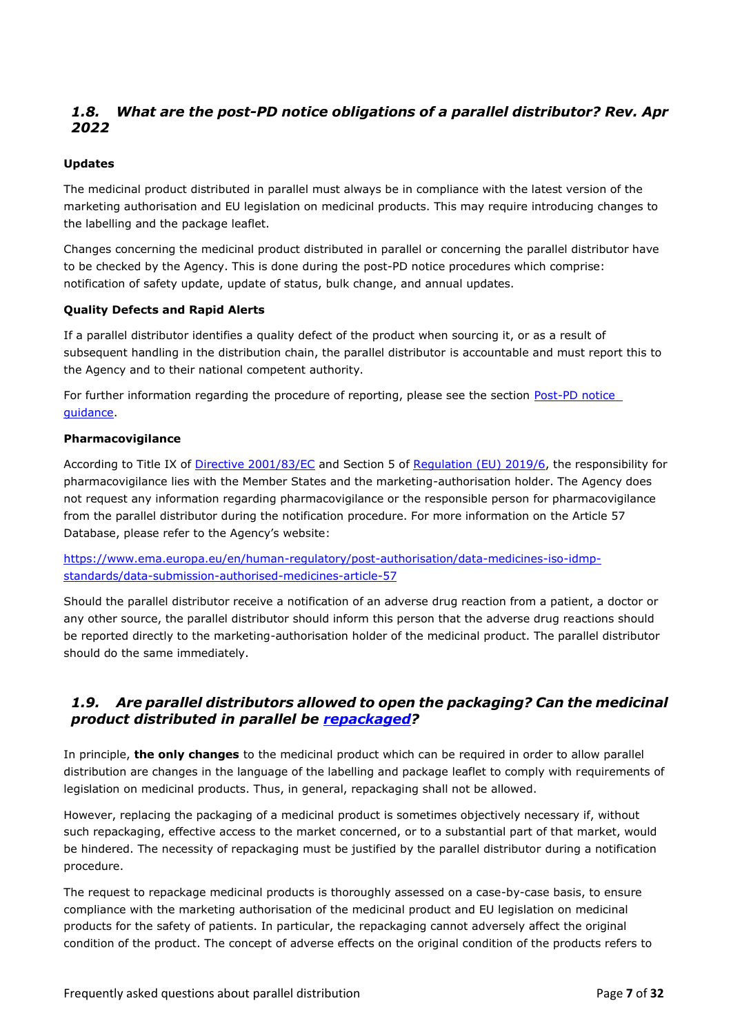# <span id="page-6-0"></span>*1.8. What are the post-PD notice obligations of a parallel distributor? Rev. Apr 2022*

#### **Updates**

The medicinal product distributed in parallel must always be in compliance with the latest version of the marketing authorisation and EU legislation on medicinal products. This may require introducing changes to the labelling and the package leaflet.

Changes concerning the medicinal product distributed in parallel or concerning the parallel distributor have to be checked by the Agency. This is done during the post-PD notice procedures which comprise: notification of safety update, update of status, bulk change, and annual updates.

#### **Quality Defects and Rapid Alerts**

If a parallel distributor identifies a quality defect of the product when sourcing it, or as a result of subsequent handling in the distribution chain, the parallel distributor is accountable and must report this to the Agency and to their national competent authority.

For further information regarding the procedure of reporting, please see the section [Post-PD notice](#page-22-0) [guidance.](#page-22-0)

#### **Pharmacovigilance**

According to Title IX of [Directive 2001/83/EC](https://eur-lex.europa.eu/legal-content/EN/TXT/?uri=CELEX%3A02001L0083-20210526) and Section 5 of [Regulation \(EU\) 2019/6,](https://eur-lex.europa.eu/legal-content/EN/TXT/?uri=CELEX%3A02019R0006-20220128) the responsibility for pharmacovigilance lies with the Member States and the marketing-authorisation holder. The Agency does not request any information regarding pharmacovigilance or the responsible person for pharmacovigilance from the parallel distributor during the notification procedure. For more information on the Article 57 Database, please refer to the Agency's website:

[https://www.ema.europa.eu/en/human-regulatory/post-authorisation/data-medicines-iso-idmp](https://www.ema.europa.eu/en/human-regulatory/post-authorisation/data-medicines-iso-idmp-standards/data-submission-authorised-medicines-article-57)[standards/data-submission-authorised-medicines-article-57](https://www.ema.europa.eu/en/human-regulatory/post-authorisation/data-medicines-iso-idmp-standards/data-submission-authorised-medicines-article-57)

Should the parallel distributor receive a notification of an adverse drug reaction from a patient, a doctor or any other source, the parallel distributor should inform this person that the adverse drug reactions should be reported directly to the marketing-authorisation holder of the medicinal product. The parallel distributor should do the same immediately.

# <span id="page-6-1"></span>*1.9. Are parallel distributors allowed to open the packaging? Can the medicinal product distributed in parallel be [repackaged?](#page-16-2)*

In principle, **the only changes** to the medicinal product which can be required in order to allow parallel distribution are changes in the language of the labelling and package leaflet to comply with requirements of legislation on medicinal products. Thus, in general, repackaging shall not be allowed.

However, replacing the packaging of a medicinal product is sometimes objectively necessary if, without such repackaging, effective access to the market concerned, or to a substantial part of that market, would be hindered. The necessity of repackaging must be justified by the parallel distributor during a notification procedure.

The request to repackage medicinal products is thoroughly assessed on a case-by-case basis, to ensure compliance with the marketing authorisation of the medicinal product and EU legislation on medicinal products for the safety of patients. In particular, the repackaging cannot adversely affect the original condition of the product. The concept of adverse effects on the original condition of the products refers to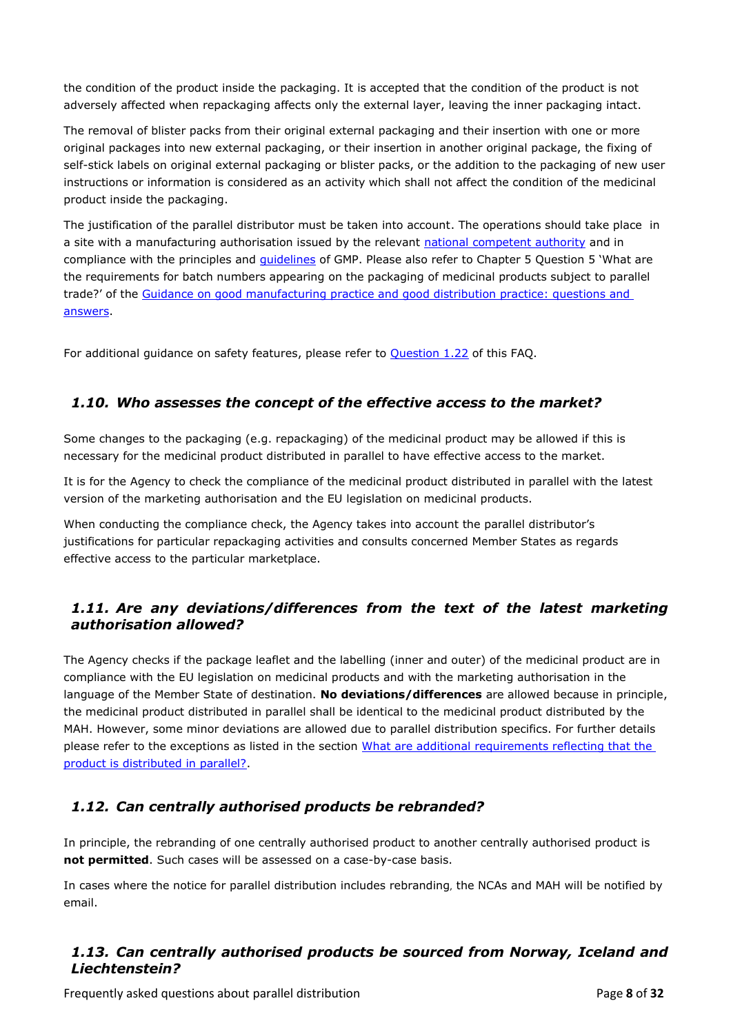the condition of the product inside the packaging. It is accepted that the condition of the product is not adversely affected when repackaging affects only the external layer, leaving the inner packaging intact.

The removal of blister packs from their original external packaging and their insertion with one or more original packages into new external packaging, or their insertion in another original package, the fixing of self-stick labels on original external packaging or blister packs, or the addition to the packaging of new user instructions or information is considered as an activity which shall not affect the condition of the medicinal product inside the packaging.

The justification of the parallel distributor must be taken into account. The operations should take place in a site with a manufacturing authorisation issued by the relevant [national competent authority](https://www.ema.europa.eu/en/glossary/national-competent-authority) and in compliance with the principles and *[guidelines](https://www.ema.europa.eu/en/glossary/guideline)* of GMP. Please also refer to Chapter 5 Question 5 'What are the requirements for batch numbers appearing on the packaging of medicinal products subject to parallel trade?' of the [Guidance on good manufacturing practice and good distribution practice: questions and](https://www.ema.europa.eu/en/human-regulatory/research-development/compliance/good-manufacturing-practice/guidance-good-manufacturing-practice-good-distribution-practice-questions-answers#eu-gmp-guide-part-i:-basic-requirements-for-medicinal-products:-chapter-5:-production-section)  [answers.](https://www.ema.europa.eu/en/human-regulatory/research-development/compliance/good-manufacturing-practice/guidance-good-manufacturing-practice-good-distribution-practice-questions-answers#eu-gmp-guide-part-i:-basic-requirements-for-medicinal-products:-chapter-5:-production-section)

For additional guidance on safety features, please refer to [Question 1.22](#page-10-2) of this FAQ.

# <span id="page-7-0"></span>*1.10. Who assesses the concept of the effective access to the market?*

Some changes to the packaging (e.g. repackaging) of the medicinal product may be allowed if this is necessary for the medicinal product distributed in parallel to have effective access to the market.

It is for the Agency to check the compliance of the medicinal product distributed in parallel with the latest version of the marketing authorisation and the EU legislation on medicinal products.

When conducting the compliance check, the Agency takes into account the parallel distributor's justifications for particular repackaging activities and consults concerned Member States as regards effective access to the particular marketplace.

# <span id="page-7-1"></span>*1.11. Are any deviations/differences from the text of the latest marketing authorisation allowed?*

The Agency checks if the package leaflet and the labelling (inner and outer) of the medicinal product are in compliance with the EU legislation on medicinal products and with the marketing authorisation in the language of the Member State of destination. **No deviations/differences** are allowed because in principle, the medicinal product distributed in parallel shall be identical to the medicinal product distributed by the MAH. However, some minor deviations are allowed due to parallel distribution specifics. For further details please refer to the exceptions as listed in the section [What are additional](#page-18-1) requirements reflecting that the [product is distributed in parallel?.](#page-18-1)

# <span id="page-7-2"></span>*1.12. Can centrally authorised products be rebranded?*

In principle, the rebranding of one centrally authorised product to another centrally authorised product is **not permitted**. Such cases will be assessed on a case-by-case basis.

In cases where the notice for parallel distribution includes rebranding, the NCAs and MAH will be notified by email.

### <span id="page-7-3"></span>*1.13. Can centrally authorised products be sourced from Norway, Iceland and Liechtenstein?*

Frequently asked questions about parallel distribution Page **8** of **32**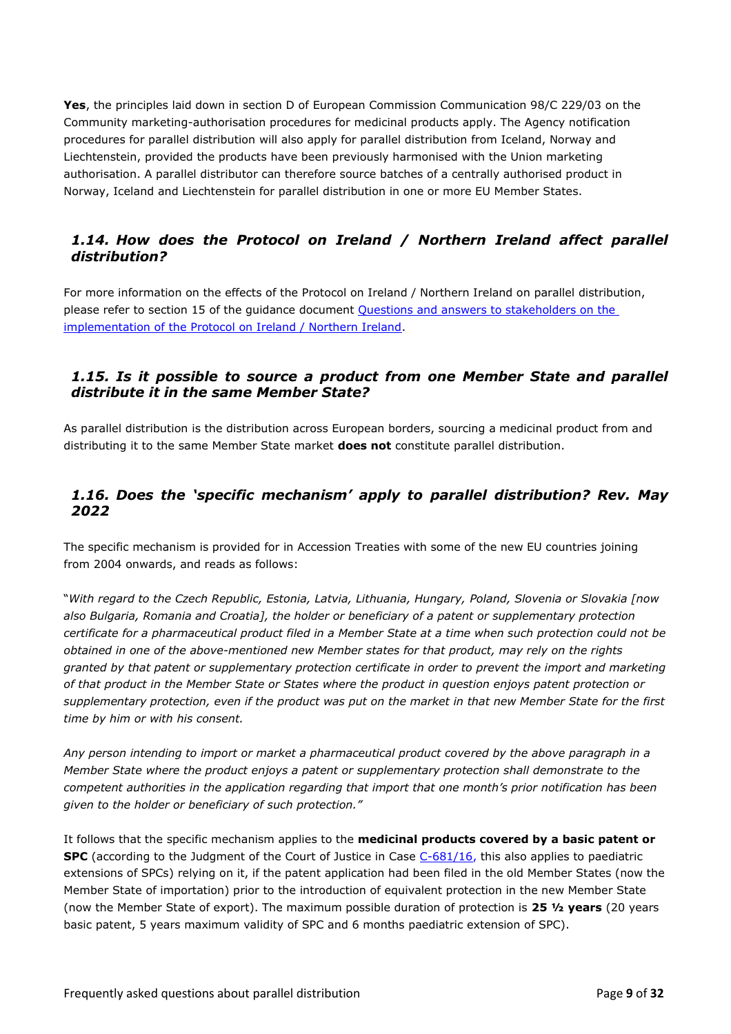**Yes**, the principles laid down in section D of European Commission Communication 98/C 229/03 on the Community marketing-authorisation procedures for medicinal products apply. The Agency notification procedures for parallel distribution will also apply for parallel distribution from Iceland, Norway and Liechtenstein, provided the products have been previously harmonised with the Union marketing authorisation. A parallel distributor can therefore source batches of a centrally authorised product in Norway, Iceland and Liechtenstein for parallel distribution in one or more EU Member States.

# <span id="page-8-0"></span>*1.14. How does the Protocol on Ireland / Northern Ireland affect parallel distribution?*

For more information on the effects of the Protocol on Ireland / Northern Ireland on parallel distribution, please refer to section 15 of the guidance document [Questions and answers to stakeholders on the](https://www.ema.europa.eu/en/documents/other/questions-answers-stakeholders-implementation-protocol-ireland/northern-ireland_en.pdf)  [implementation of the Protocol on Ireland / Northern Ireland.](https://www.ema.europa.eu/en/documents/other/questions-answers-stakeholders-implementation-protocol-ireland/northern-ireland_en.pdf)

### <span id="page-8-1"></span>*1.15. Is it possible to source a product from one Member State and parallel distribute it in the same Member State?*

As parallel distribution is the distribution across European borders, sourcing a medicinal product from and distributing it to the same Member State market **does not** constitute parallel distribution.

# <span id="page-8-2"></span>*1.16. Does the 'specific mechanism' apply to parallel distribution? Rev. May 2022*

The specific mechanism is provided for in Accession Treaties with some of the new EU countries joining from 2004 onwards, and reads as follows:

"*With regard to the Czech Republic, Estonia, Latvia, Lithuania, Hungary, Poland, Slovenia or Slovakia [now also Bulgaria, Romania and Croatia], the holder or beneficiary of a patent or supplementary protection certificate for a pharmaceutical product filed in a Member State at a time when such protection could not be obtained in one of the above-mentioned new Member states for that product, may rely on the rights granted by that patent or supplementary protection certificate in order to prevent the import and marketing of that product in the Member State or States where the product in question enjoys patent protection or supplementary protection, even if the product was put on the market in that new Member State for the first time by him or with his consent.*

*Any person intending to import or market a pharmaceutical product covered by the above paragraph in a Member State where the product enjoys a patent or supplementary protection shall demonstrate to the competent authorities in the application regarding that import that one month's prior notification has been given to the holder or beneficiary of such protection."*

It follows that the specific mechanism applies to the **medicinal products covered by a basic patent or SPC** (according to the Judgment of the Court of Justice in Case [C-681/16,](https://curia.europa.eu/juris/document/document.jsf;jsessionid=4CB5C5B57EC9716897E00A60B96A7515?text=&docid=203225&pageIndex=0&doclang=en&mode=lst&dir=&occ=first&part=1&cid=11748408) this also applies to paediatric extensions of SPCs) relying on it, if the patent application had been filed in the old Member States (now the Member State of importation) prior to the introduction of equivalent protection in the new Member State (now the Member State of export). The maximum possible duration of protection is **25 ½ years** (20 years basic patent, 5 years maximum validity of SPC and 6 months paediatric extension of SPC).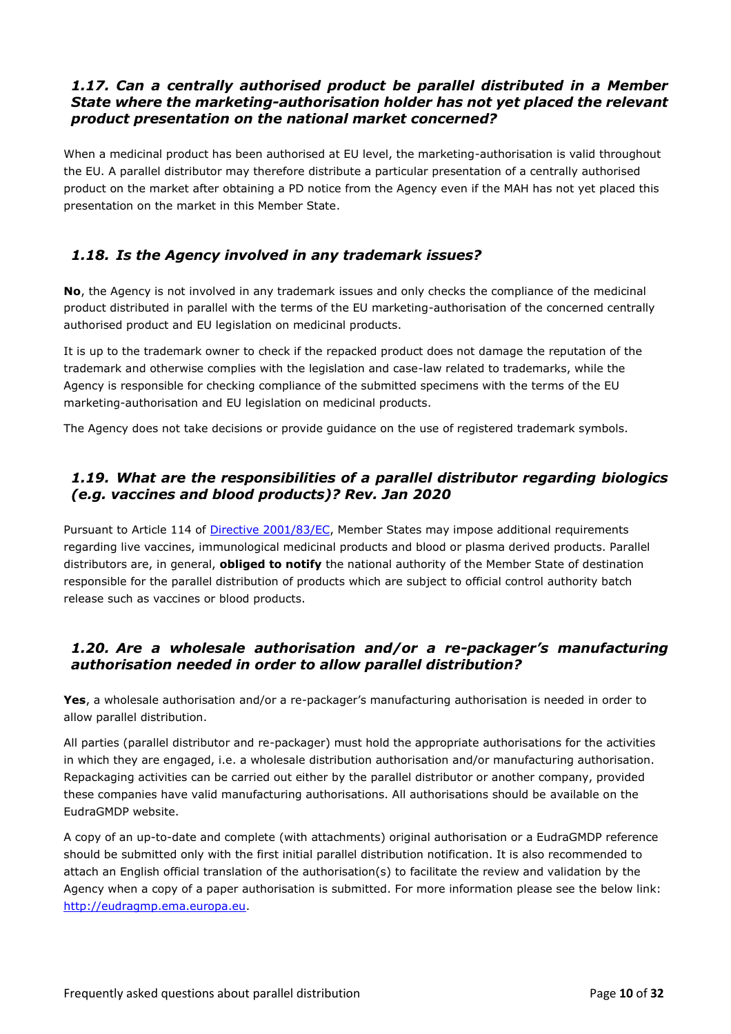### <span id="page-9-0"></span>*1.17. Can a centrally authorised product be parallel distributed in a Member State where the marketing-authorisation holder has not yet placed the relevant product presentation on the national market concerned?*

When a medicinal product has been authorised at EU level, the marketing-authorisation is valid throughout the EU. A parallel distributor may therefore distribute a particular presentation of a centrally authorised product on the market after obtaining a PD notice from the Agency even if the MAH has not yet placed this presentation on the market in this Member State.

# <span id="page-9-1"></span>*1.18. Is the Agency involved in any trademark issues?*

**No**, the Agency is not involved in any trademark issues and only checks the compliance of the medicinal product distributed in parallel with the terms of the EU marketing-authorisation of the concerned centrally authorised product and EU legislation on medicinal products.

It is up to the trademark owner to check if the repacked product does not damage the reputation of the trademark and otherwise complies with the legislation and case-law related to trademarks, while the Agency is responsible for checking compliance of the submitted specimens with the terms of the EU marketing-authorisation and EU legislation on medicinal products.

The Agency does not take decisions or provide guidance on the use of registered trademark symbols.

# <span id="page-9-2"></span>*1.19. What are the responsibilities of a parallel distributor regarding biologics (e.g. vaccines and blood products)? Rev. Jan 2020*

Pursuant to Article 114 of [Directive 2001/83/EC,](https://eur-lex.europa.eu/legal-content/EN/TXT/?uri=CELEX%3A02001L0083-20210526) Member States may impose additional requirements regarding live vaccines, immunological medicinal products and blood or plasma derived products. Parallel distributors are, in general, **obliged to notify** the national authority of the Member State of destination responsible for the parallel distribution of products which are subject to official control authority batch release such as vaccines or blood products.

# <span id="page-9-3"></span>*1.20. Are a wholesale authorisation and/or a re-packager's manufacturing authorisation needed in order to allow parallel distribution?*

**Yes**, a wholesale authorisation and/or a re-packager's manufacturing authorisation is needed in order to allow parallel distribution.

All parties (parallel distributor and re-packager) must hold the appropriate authorisations for the activities in which they are engaged, i.e. a wholesale distribution authorisation and/or manufacturing authorisation. Repackaging activities can be carried out either by the parallel distributor or another company, provided these companies have valid manufacturing authorisations. All authorisations should be available on the EudraGMDP website.

A copy of an up-to-date and complete (with attachments) original authorisation or a EudraGMDP reference should be submitted only with the first initial parallel distribution notification. It is also recommended to attach an English official translation of the authorisation(s) to facilitate the review and validation by the Agency when a copy of a paper authorisation is submitted. For more information please see the below link: [http://eudragmp.ema.europa.eu.](http://eudragmp.ema.europa.eu/)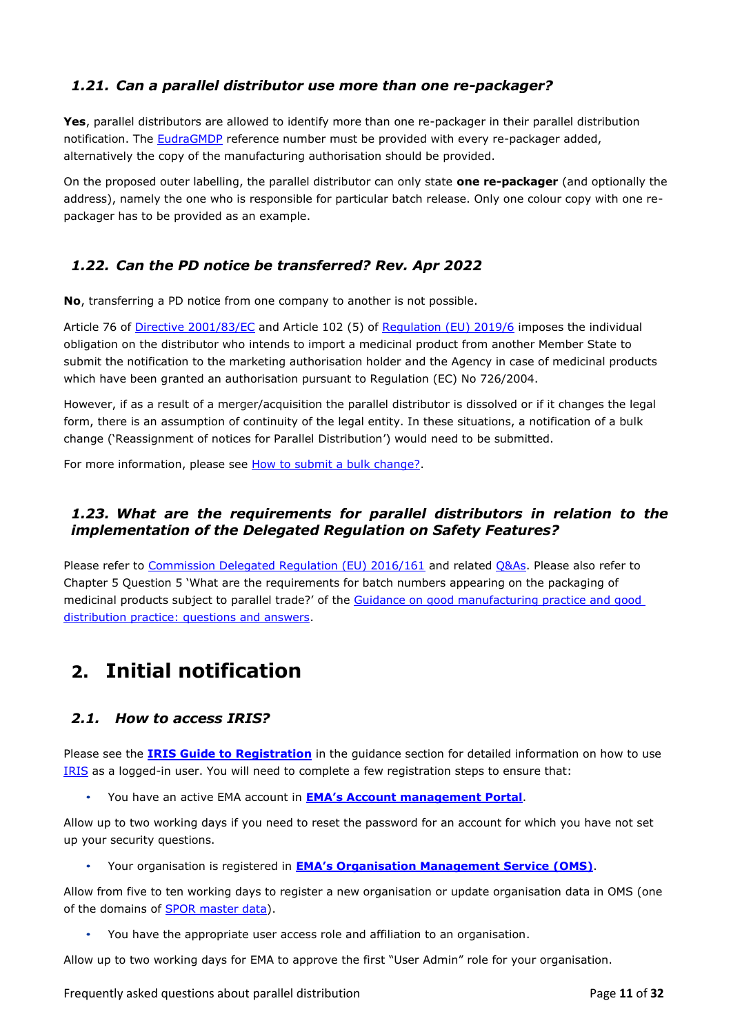# <span id="page-10-0"></span>*1.21. Can a parallel distributor use more than one re-packager?*

**Yes**, parallel distributors are allowed to identify more than one re-packager in their parallel distribution notification. The [EudraGMDP](http://eudragmp.ema.europa.eu/inspections/displayWelcome.do%3Bjsessionid%3D8yymRwwRYwtBQT7zgnkQ0YmTCxqwVKdk2QFrBptSBQfv98hm87d0!-314041274) reference number must be provided with every re-packager added, alternatively the copy of the manufacturing authorisation should be provided.

On the proposed outer labelling, the parallel distributor can only state **one re-packager** (and optionally the address), namely the one who is responsible for particular batch release. Only one colour copy with one repackager has to be provided as an example.

# <span id="page-10-1"></span>*1.22. Can the PD notice be transferred? Rev. Apr 2022*

**No**, transferring a PD notice from one company to another is not possible.

Article 76 of [Directive 2001/83/EC](https://eur-lex.europa.eu/legal-content/EN/TXT/?uri=CELEX%3A02001L0083-20210526) and Article 102 (5) of [Regulation \(EU\) 2019/6](https://eur-lex.europa.eu/legal-content/EN/TXT/?uri=CELEX%3A02019R0006-20220128) imposes the individual obligation on the distributor who intends to import a medicinal product from another Member State to submit the notification to the marketing authorisation holder and the Agency in case of medicinal products which have been granted an authorisation pursuant to Regulation (EC) No 726/2004.

However, if as a result of a merger/acquisition the parallel distributor is dissolved or if it changes the legal form, there is an assumption of continuity of the legal entity. In these situations, a notification of a bulk change ('Reassignment of notices for Parallel Distribution') would need to be submitted.

For more information, please see [How to submit a bulk change?.](#page-26-0)

# <span id="page-10-2"></span>*1.23. What are the requirements for parallel distributors in relation to the implementation of the Delegated Regulation on Safety Features?*

Please refer to [Commission Delegated Regulation \(EU\) 2016/161](https://ec.europa.eu/health/sites/health/files/files/eudralex/vol-1/reg_2016_161/reg_2016_161_en.pdf) and related [Q&As.](https://ec.europa.eu/health/sites/health/files/files/falsified_medicines/qa_safetyfeature_en.pdf) Please also refer to Chapter 5 Question 5 'What are the requirements for batch numbers appearing on the packaging of medicinal products subject to parallel trade?' of the [Guidance on good manufacturing practice and good](https://www.ema.europa.eu/en/human-regulatory/research-development/compliance/good-manufacturing-practice/guidance-good-manufacturing-practice-good-distribution-practice-questions-answers#eu-gmp-guide-part-i:-basic-requirements-for-medicinal-products:-chapter-5:-production-section)  [distribution practice: questions and answers.](https://www.ema.europa.eu/en/human-regulatory/research-development/compliance/good-manufacturing-practice/guidance-good-manufacturing-practice-good-distribution-practice-questions-answers#eu-gmp-guide-part-i:-basic-requirements-for-medicinal-products:-chapter-5:-production-section)

# <span id="page-10-3"></span>**2. Initial notification**

# <span id="page-10-4"></span>*2.1. How to access IRIS?*

Please see the **[IRIS Guide to Registration](https://www.ema.europa.eu/en/documents/regulatory-procedural-guideline/iris-guide-registration_en.pdf)** in the [guidance section](https://www.ema.europa.eu/en/human-regulatory/post-authorisation/parallel-distribution/parallel-distribution-regulatory-procedural-guidance) for detailed information on how to use [IRIS](https://iris.ema.europa.eu/) as a logged-in user. You will need to complete a few registration steps to ensure that:

• You have an active EMA account in **[EMA's Account management Portal](https://register.ema.europa.eu/identityiq/login.jsf?prompt=true)**.

Allow up to two working days if you need to reset the password for an account for which you have not set up your security questions.

• Your organisation is registered in **[EMA's Organisation Management Service \(](https://www.ema.europa.eu/en/human-regulatory/research-development/data-medicines-iso-idmp-standards/spor-master-data/organisations-management-service-oms)OMS)**.

Allow from five to ten working days to register a new organisation or update organisation data in OMS (one of the domains of **SPOR** master data).

• You have the appropriate user access role and affiliation to an organisation.

Allow up to two working days for EMA to approve the first "User Admin" role for your organisation.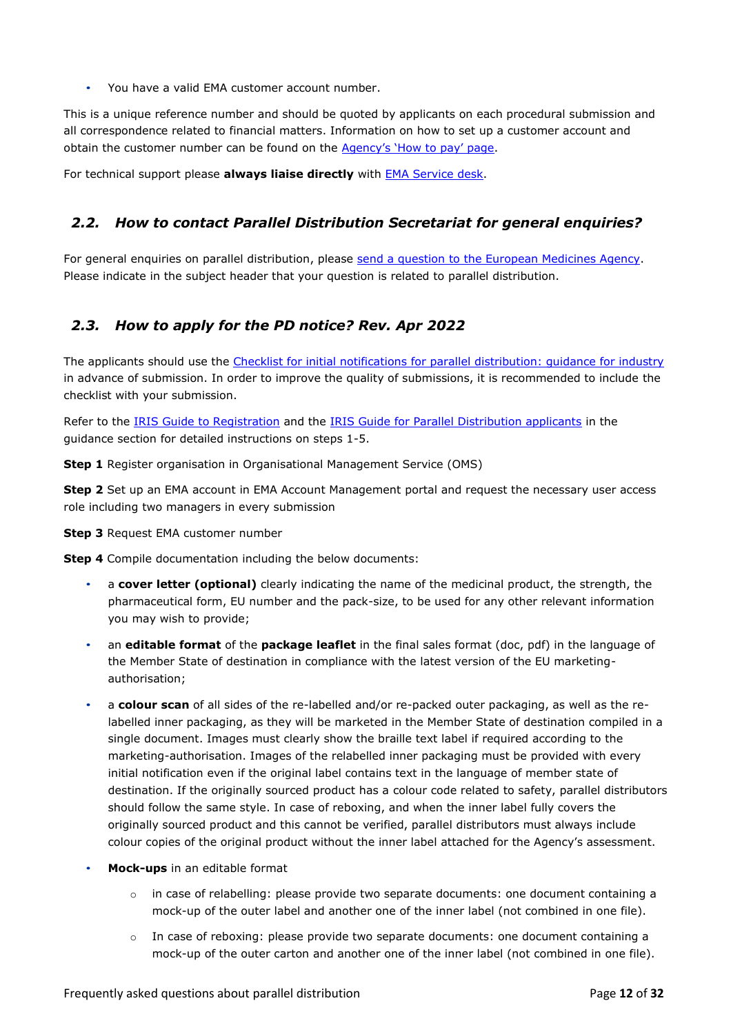• You have a valid EMA customer account number.

This is a unique reference number and should be quoted by applicants on each procedural submission and all correspondence related to financial matters. Information on how to set up a customer account and obtain the customer number can be found on the [Agency's 'How to pay' page](https://www.ema.europa.eu/en/human-regulatory/overview/fees/how-pay).

For technical support please **always liaise directly** with [EMA Service desk.](https://servicedesk.ema.europa.eu/jira/servicedesk/customer/portals)

# <span id="page-11-0"></span>*2.2. How to contact Parallel Distribution Secretariat for general enquiries?*

For general enquiries on [parallel distribution,](https://www.ema.europa.eu/en/glossary/parallel-distribution) please [send a question to the European Medicines Agency.](https://www.ema.europa.eu/en/about-us/contact/send-question-european-medicines-agency) Please indicate in the subject header that your question is related to parallel distribution.

# <span id="page-11-1"></span>*2.3. How to apply for the PD notice? Rev. Apr 2022*

The applicants should use the Checklist for initial notifications for parallel distribution: quidance for industry in advance of submission. In order to improve the quality of submissions, it is recommended to include the checklist with your submission.

Refer to the IRIS Guide [to Registration](https://www.ema.europa.eu/en/documents/regulatory-procedural-guideline/iris-guide-registration_en.pdf) and the [IRIS Guide for Parallel Distribution applicants](https://www.ema.europa.eu/en/documents/regulatory-procedural-guideline/iris-guide-parallel-distribution-applicants_en.pdf) in the [guidance section](https://www.ema.europa.eu/en/human-regulatory/post-authorisation/parallel-distribution/parallel-distribution-regulatory-procedural-guidance) for detailed instructions on steps 1-5.

**Step 1** Register organisation in [Organisational Management Service \(OMS\)](https://spor.ema.europa.eu/sporwi/)

**Step 2** Set up an EMA account in EMA Account Management portal and request the necessary user access role including two managers in every submission

**Step 3** Request EMA customer number

**Step 4** Compile documentation including the below documents:

- a **cover letter (optional)** clearly indicating the name of the medicinal product, the strength, the pharmaceutical form, EU number and the pack-size, to be used for any other relevant information you may wish to provide;
- an **editable format** of the **package leaflet** in the final sales format (doc, pdf) in the language of the Member State of destination in compliance with the latest version of the EU marketingauthorisation;
- a **colour scan** of all sides of the re-labelled and/or re-packed outer packaging, as well as the relabelled inner packaging, as they will be marketed in the Member State of destination compiled in a single document. Images must clearly show the braille text label if required according to the marketing-authorisation. Images of the relabelled inner packaging must be provided with every initial notification even if the original label contains text in the language of member state of destination. If the originally sourced product has a colour code related to safety, parallel distributors should follow the same style. In case of reboxing, and when the inner label fully covers the originally sourced product and this cannot be verified, parallel distributors must always include colour copies of the original product without the inner label attached for the Agency's assessment.
- **Mock-ups** in an editable format
	- $\circ$  in case of relabelling: please provide two separate documents: one document containing a mock-up of the outer label and another one of the inner label (not combined in one file).
	- $\circ$  In case of reboxing: please provide two separate documents: one document containing a mock-up of the outer carton and another one of the inner label (not combined in one file).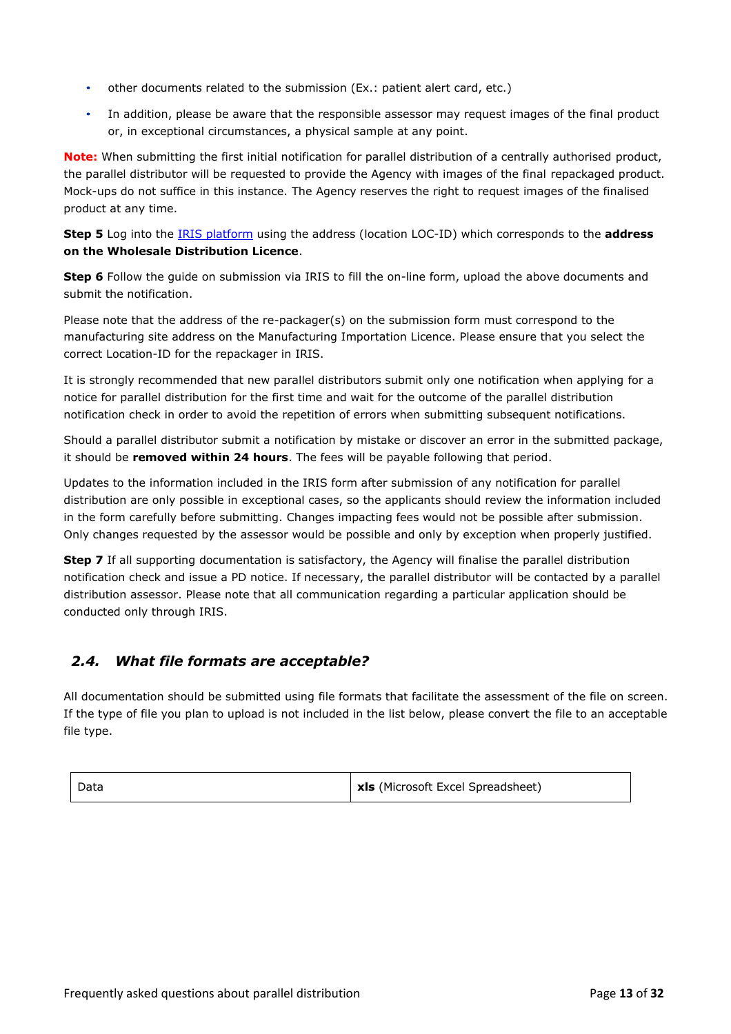- other documents related to the submission (Ex.: patient alert card, etc.)
- In addition, please be aware that the responsible assessor may request images of the final product or, in exceptional circumstances, a physical sample at any point.

**Note:** When submitting the first initial notification for parallel distribution of a centrally authorised product, the parallel distributor will be requested to provide the Agency with images of the final repackaged product. Mock-ups do not suffice in this instance. The Agency reserves the right to request images of the finalised product at any time.

**Step 5** Log into the [IRIS platform](https://iris.ema.europa.eu/) using the address (location LOC-ID) which corresponds to the **address on the Wholesale Distribution Licence**.

**Step 6** Follow the guide on submission via IRIS to fill the on-line form, upload the above documents and submit the notification.

Please note that the address of the re-packager(s) on the submission form must correspond to the manufacturing site address on the Manufacturing Importation Licence. Please ensure that you select the correct Location-ID for the repackager in IRIS.

It is strongly recommended that new parallel distributors submit only one notification when applying for a notice for parallel distribution for the first time and wait for the outcome of the parallel distribution notification check in order to avoid the repetition of errors when submitting subsequent notifications.

Should a parallel distributor submit a notification by mistake or discover an error in the submitted package, it should be **removed within 24 hours**. The fees will be payable following that period.

Updates to the information included in the IRIS form after submission of any notification for parallel distribution are only possible in exceptional cases, so the applicants should review the information included in the form carefully before submitting. Changes impacting fees would not be possible after submission. Only changes requested by the assessor would be possible and only by exception when properly justified.

**Step 7** If all supporting documentation is satisfactory, the Agency will finalise the parallel distribution notification check and issue a PD notice. If necessary, the parallel distributor will be contacted by a parallel distribution assessor. Please note that all communication regarding a particular application should be conducted only through IRIS.

# <span id="page-12-0"></span>*2.4. What file formats are acceptable?*

All documentation should be submitted using file formats that facilitate the assessment of the file on screen. If the type of file you plan to upload is not included in the list below, please convert the file to an acceptable file type.

**Data xls** (Microsoft Excel Spreadsheet)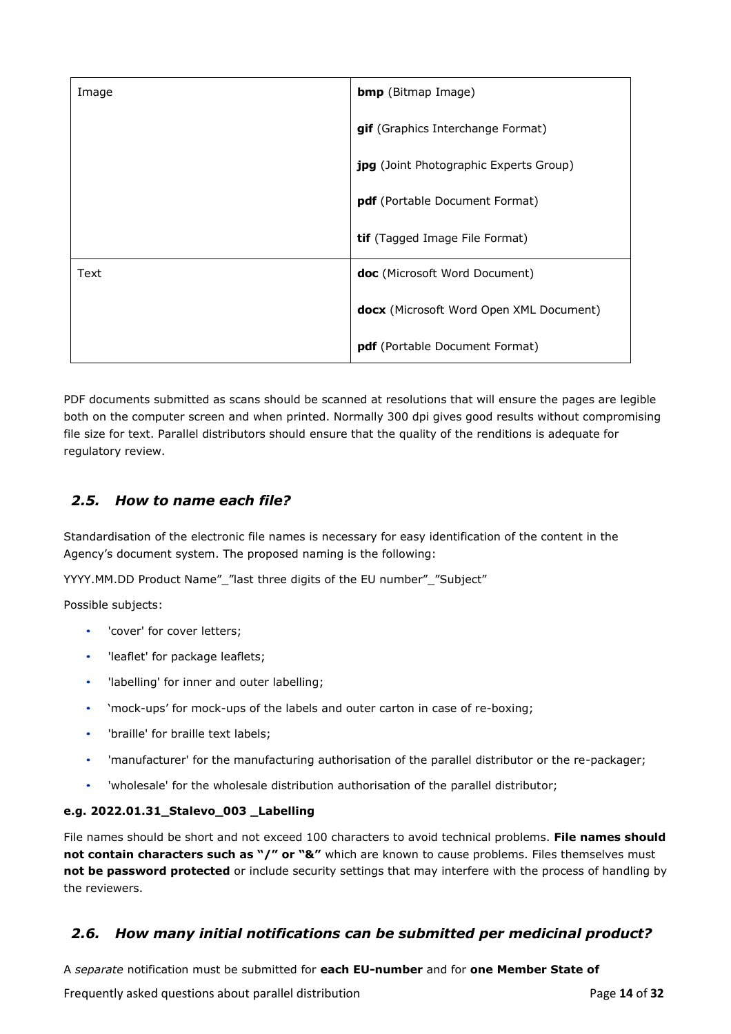| Image | <b>bmp</b> (Bitmap Image)                     |
|-------|-----------------------------------------------|
|       | gif (Graphics Interchange Format)             |
|       | <b>jpg</b> (Joint Photographic Experts Group) |
|       | pdf (Portable Document Format)                |
|       | <b>tif</b> (Tagged Image File Format)         |
| Text  | doc (Microsoft Word Document)                 |
|       | docx (Microsoft Word Open XML Document)       |
|       | pdf (Portable Document Format)                |

PDF documents submitted as scans should be scanned at resolutions that will ensure the pages are legible both on the computer screen and when printed. Normally 300 dpi gives good results without compromising file size for text. Parallel distributors should ensure that the quality of the renditions is adequate for regulatory review.

# <span id="page-13-0"></span>*2.5. How to name each file?*

Standardisation of the electronic file names is necessary for easy identification of the content in the Agency's document system. The proposed naming is the following:

YYYY.MM.DD Product Name"\_"last three digits of the EU number"\_"Subject"

Possible subjects:

- 'cover' for cover letters;
- 'leaflet' for package leaflets;
- 'labelling' for inner and outer labelling;
- 'mock-ups' for mock-ups of the labels and outer carton in case of re-boxing;
- 'braille' for braille text labels;
- 'manufacturer' for the manufacturing authorisation of the parallel distributor or the re-packager;
- 'wholesale' for the wholesale distribution authorisation of the parallel distributor;

#### **e.g. 2022.01.31\_Stalevo\_003 \_Labelling**

File names should be short and not exceed 100 characters to avoid technical problems. **File names should not contain characters such as "/" or "&"** which are known to cause problems. Files themselves must **not be password protected** or include security settings that may interfere with the process of handling by the reviewers.

# <span id="page-13-1"></span>*2.6. How many initial notifications can be submitted per medicinal product?*

A *separate* notification must be submitted for **each EU-number** and for **one Member State of** 

Frequently asked questions about parallel distribution Page **14** of **32**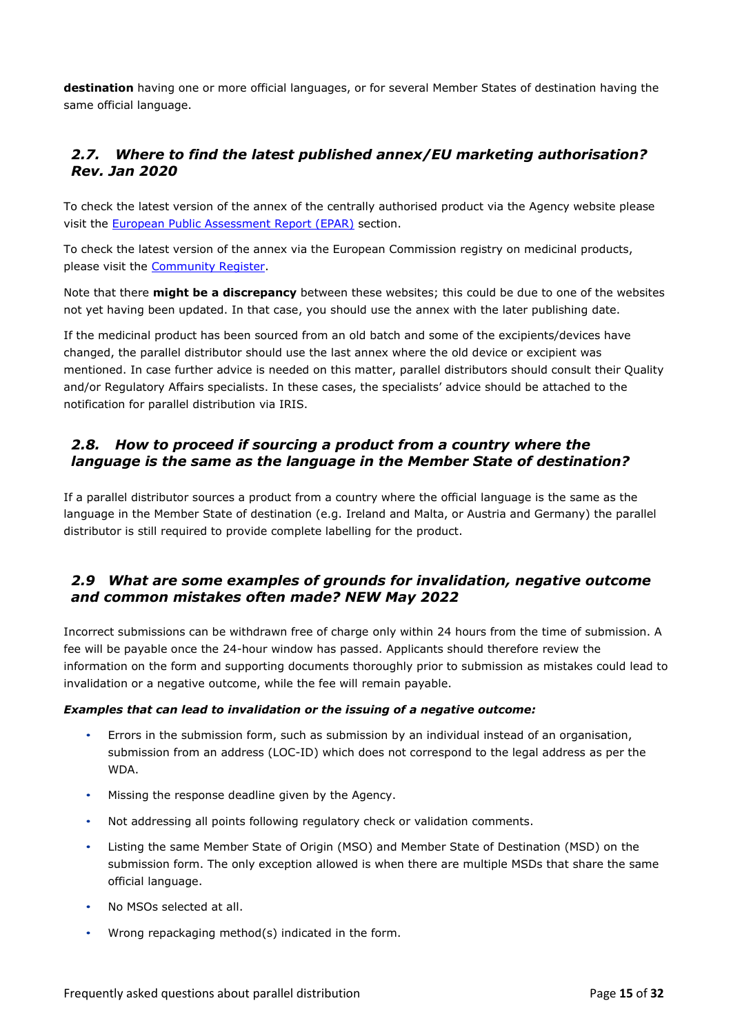**destination** having one or more official languages, or for several Member States of destination having the same official language.

# <span id="page-14-0"></span>*2.7. Where to find the latest published annex/EU marketing authorisation? Rev. Jan 2020*

To check the latest version of the annex of the centrally authorised product via the Agency website please visit the [European Public Assessment Report \(EPAR\)](https://www.ema.europa.eu/en/medicines/field_ema_web_categories%253Aname_field/Human/ema_group_types/ema_medicine) section.

To check the latest version of the annex via the European Commission registry on medicinal products, please visit the [Community Register.](https://ec.europa.eu/health/documents/community-register/html/index_en.htm)

Note that there **might be a discrepancy** between these websites; this could be due to one of the websites not yet having been updated. In that case, you should use the annex with the later publishing date.

If the medicinal product has been sourced from an old batch and some of the excipients/devices have changed, the parallel distributor should use the last annex where the old device or excipient was mentioned. In case further advice is needed on this matter, parallel distributors should consult their Quality and/or Regulatory Affairs specialists. In these cases, the specialists' advice should be attached to the notification for parallel distribution via IRIS.

# <span id="page-14-1"></span>*2.8. How to proceed if sourcing a product from a country where the language is the same as the language in the Member State of destination?*

If a parallel distributor sources a product from a country where the official language is the same as the language in the Member State of destination (e.g. Ireland and Malta, or Austria and Germany) the parallel distributor is still required to provide complete labelling for the product.

### <span id="page-14-2"></span>*2.9 What are some examples of grounds for invalidation, negative outcome and common mistakes often made? NEW May 2022*

Incorrect submissions can be withdrawn free of charge only within 24 hours from the time of submission. A fee will be payable once the 24-hour window has passed. Applicants should therefore review the information on the form and supporting documents thoroughly prior to submission as mistakes could lead to invalidation or a negative outcome, while the fee will remain payable.

#### *Examples that can lead to invalidation or the issuing of a negative outcome:*

- Errors in the submission form, such as submission by an individual instead of an organisation, submission from an address (LOC-ID) which does not correspond to the legal address as per the WDA.
- Missing the response deadline given by the Agency.
- Not addressing all points following regulatory check or validation comments.
- Listing the same Member State of Origin (MSO) and Member State of Destination (MSD) on the submission form. The only exception allowed is when there are multiple MSDs that share the same official language.
- No MSOs selected at all.
- Wrong repackaging method(s) indicated in the form.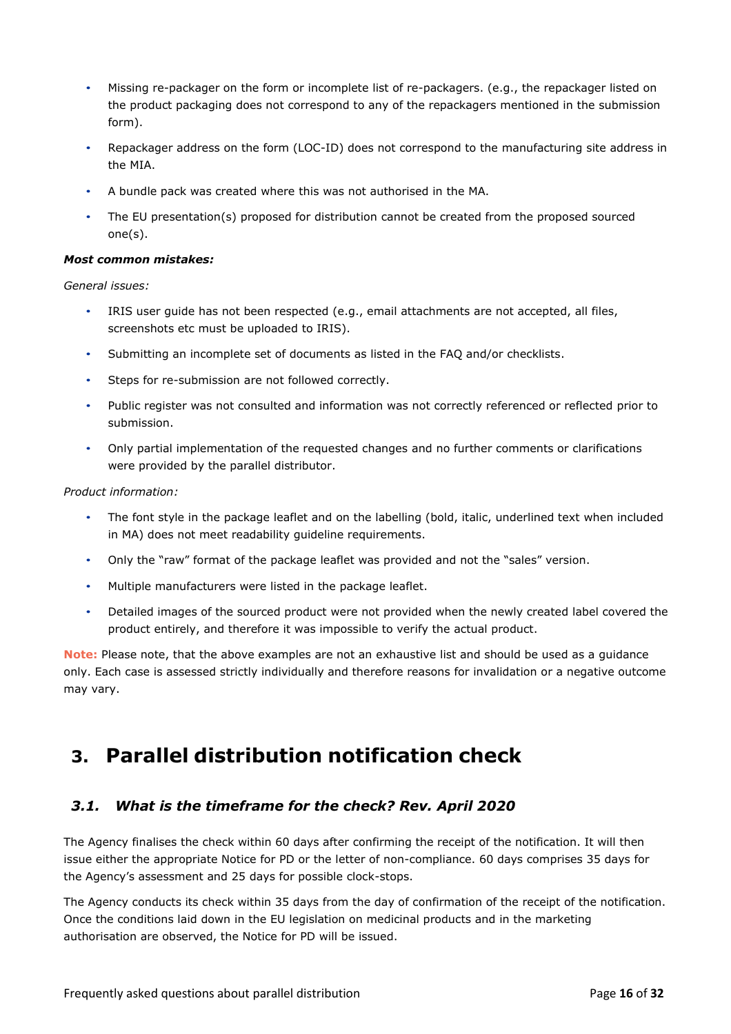- Missing re-packager on the form or incomplete list of re-packagers. (e.g., the repackager listed on the product packaging does not correspond to any of the repackagers mentioned in the submission form).
- Repackager address on the form (LOC-ID) does not correspond to the manufacturing site address in the MIA.
- A bundle pack was created where this was not authorised in the MA.
- The EU presentation(s) proposed for distribution cannot be created from the proposed sourced one(s).

#### *Most common mistakes:*

#### *General issues:*

- IRIS user guide has not been respected (e.g., email attachments are not accepted, all files, screenshots etc must be uploaded to IRIS).
- Submitting an incomplete set of documents as listed in the FAQ and/or checklists.
- Steps for re-submission are not followed correctly.
- Public register was not consulted and information was not correctly referenced or reflected prior to submission.
- Only partial implementation of the requested changes and no further comments or clarifications were provided by the parallel distributor.

#### *Product information:*

- The font style in the package leaflet and on the labelling (bold, italic, underlined text when included in MA) does not meet readability guideline requirements.
- Only the "raw" format of the package leaflet was provided and not the "sales" version.
- Multiple manufacturers were listed in the package leaflet.
- Detailed images of the sourced product were not provided when the newly created label covered the product entirely, and therefore it was impossible to verify the actual product.

**Note:** Please note, that the above examples are not an exhaustive list and should be used as a guidance only. Each case is assessed strictly individually and therefore reasons for invalidation or a negative outcome may vary.

# <span id="page-15-0"></span>**3. Parallel distribution notification check**

# <span id="page-15-1"></span>*3.1. What is the timeframe for the check? Rev. April 2020*

The Agency finalises the check within 60 days after confirming the receipt of the notification. It will then issue either the appropriate Notice for PD or the letter of non-compliance. 60 days comprises 35 days for the Agency's assessment and 25 days for possible clock-stops.

The Agency conducts its check within 35 days from the day of confirmation of the receipt of the notification. Once the conditions laid down in the EU legislation on medicinal products and in the marketing authorisation are observed, the Notice for PD will be issued.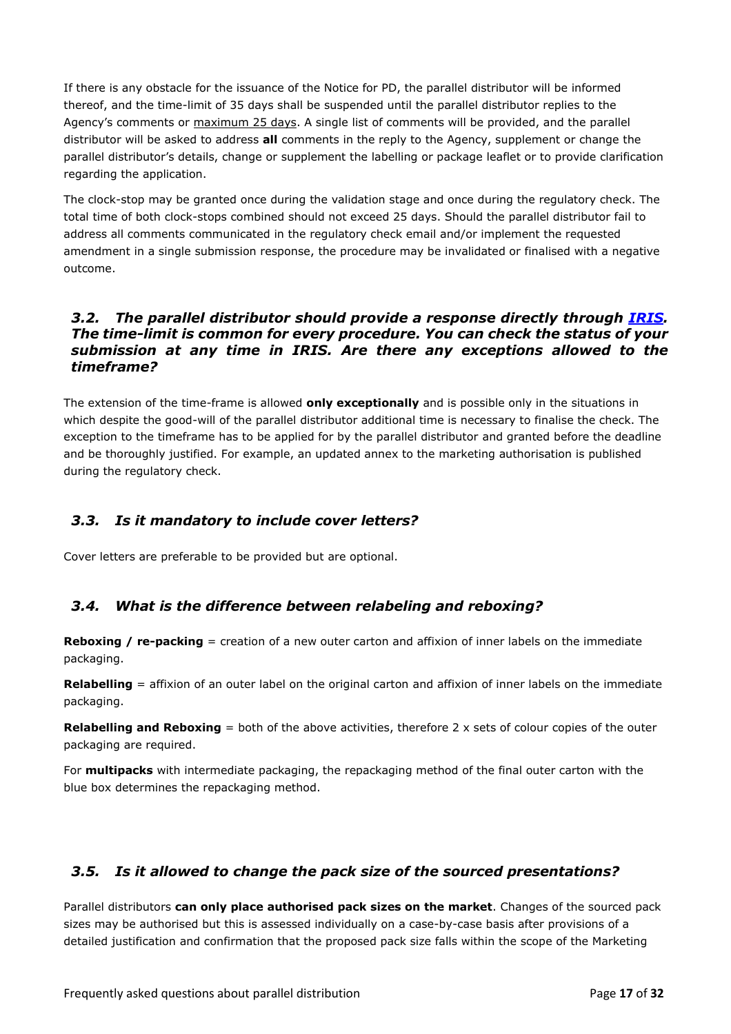If there is any obstacle for the issuance of the Notice for PD, the parallel distributor will be informed thereof, and the time-limit of 35 days shall be suspended until the parallel distributor replies to the Agency's comments or maximum 25 days. A single list of comments will be provided, and the parallel distributor will be asked to address **all** comments in the reply to the Agency, supplement or change the parallel distributor's details, change or supplement the labelling or package leaflet or to provide clarification regarding the application.

The clock-stop may be granted once during the validation stage and once during the regulatory check. The total time of both clock-stops combined should not exceed 25 days. Should the parallel distributor fail to address all comments communicated in the regulatory check email and/or implement the requested amendment in a single submission response, the procedure may be invalidated or finalised with a negative outcome.

### <span id="page-16-0"></span>*3.2. The parallel distributor should provide a response directly through [IRIS.](https://iris.ema.europa.eu/) The time-limit is common for every procedure. You can check the status of your submission at any time in IRIS. Are there any exceptions allowed to the timeframe?*

The extension of the time-frame is allowed **only exceptionally** and is possible only in the situations in which despite the good-will of the parallel distributor additional time is necessary to finalise the check. The exception to the timeframe has to be applied for by the parallel distributor and granted before the deadline and be thoroughly justified. For example, an updated annex to the marketing authorisation is published during the regulatory check.

# <span id="page-16-1"></span>*3.3. Is it mandatory to include cover letters?*

Cover letters are preferable to be provided but are optional.

# <span id="page-16-2"></span>*3.4. What is the difference between relabeling and reboxing?*

**Reboxing / re-packing** = creation of a new outer carton and affixion of inner labels on the immediate packaging.

**Relabelling** = affixion of an outer label on the original carton and affixion of inner labels on the immediate packaging.

**Relabelling and Reboxing** = both of the above activities, therefore 2 x sets of colour copies of the outer packaging are required.

For **multipacks** with intermediate packaging, the repackaging method of the final outer carton with the blue box determines the repackaging method.

# <span id="page-16-3"></span>*3.5. Is it allowed to change the pack size of the sourced presentations?*

Parallel distributors **can only place authorised pack sizes on the market**. Changes of the sourced pack sizes may be authorised but this is assessed individually on a case-by-case basis after provisions of a detailed justification and confirmation that the proposed pack size falls within the scope of the Marketing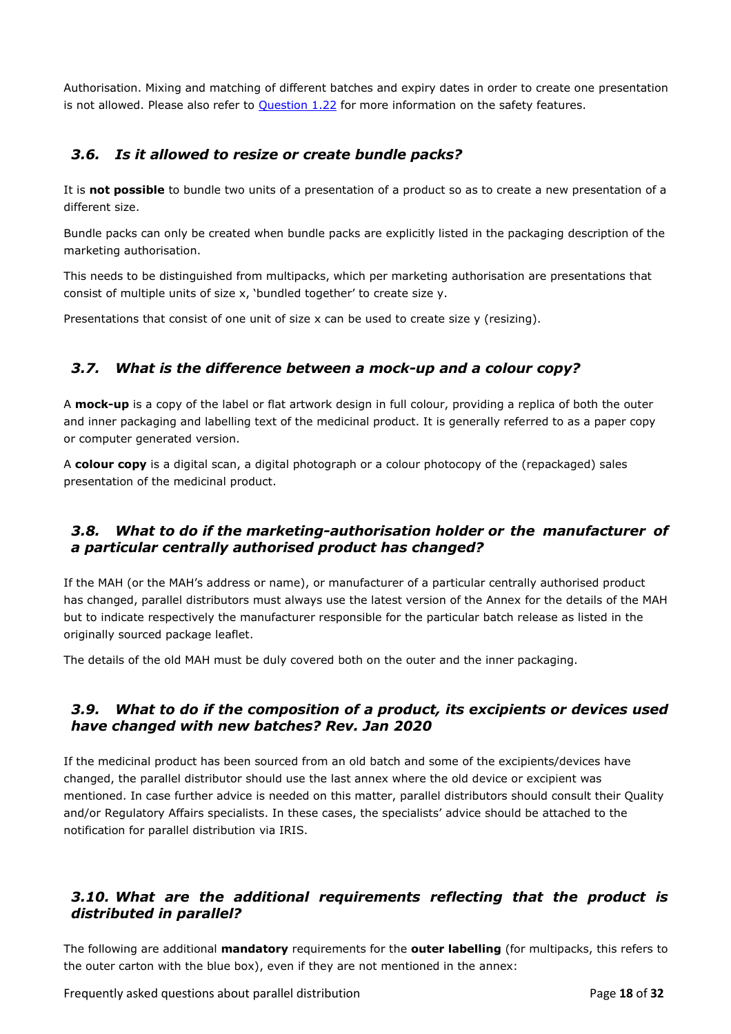Authorisation. Mixing and matching of different batches and expiry dates in order to create one presentation is not allowed. Please also refer to **Question 1.22** for more information on the safety features.

# <span id="page-17-0"></span>*3.6. Is it allowed to resize or create bundle packs?*

It is **not possible** to bundle two units of a presentation of a product so as to create a new presentation of a different size.

Bundle packs can only be created when bundle packs are explicitly listed in the packaging description of the marketing authorisation.

This needs to be distinguished from multipacks, which per marketing authorisation are presentations that consist of multiple units of size x, 'bundled together' to create size y.

Presentations that consist of one unit of size x can be used to create size y (resizing).

# <span id="page-17-1"></span>*3.7. What is the difference between a mock-up and a colour copy?*

A **mock-up** is a copy of the label or flat artwork design in full colour, providing a replica of both the outer and inner packaging and labelling text of the medicinal product. It is generally referred to as a paper copy or computer generated version.

A **colour copy** is a digital scan, a digital photograph or a colour photocopy of the (repackaged) sales presentation of the medicinal product.

# <span id="page-17-2"></span>*3.8. What to do if the marketing-authorisation holder or the manufacturer of a particular centrally authorised product has changed?*

If the MAH (or the MAH's address or name), or manufacturer of a particular centrally authorised product has changed, parallel distributors must always use the latest version of the Annex for the details of the MAH but to indicate respectively the manufacturer responsible for the particular batch release as listed in the originally sourced package leaflet.

The details of the old MAH must be duly covered both on the outer and the inner packaging.

### <span id="page-17-3"></span>*3.9. What to do if the composition of a product, its excipients or devices used have changed with new batches? Rev. Jan 2020*

If the medicinal product has been sourced from an old batch and some of the excipients/devices have changed, the parallel distributor should use the last annex where the old device or excipient was mentioned. In case further advice is needed on this matter, parallel distributors should consult their Quality and/or Regulatory Affairs specialists. In these cases, the specialists' advice should be attached to the notification for parallel distribution via IRIS.

# <span id="page-17-4"></span>*3.10. What are the additional requirements reflecting that the product is distributed in parallel?*

The following are additional **mandatory** requirements for the **outer labelling** (for multipacks, this refers to the outer carton with the blue box), even if they are not mentioned in the annex:

Frequently asked questions about parallel distribution Page **18** of **32**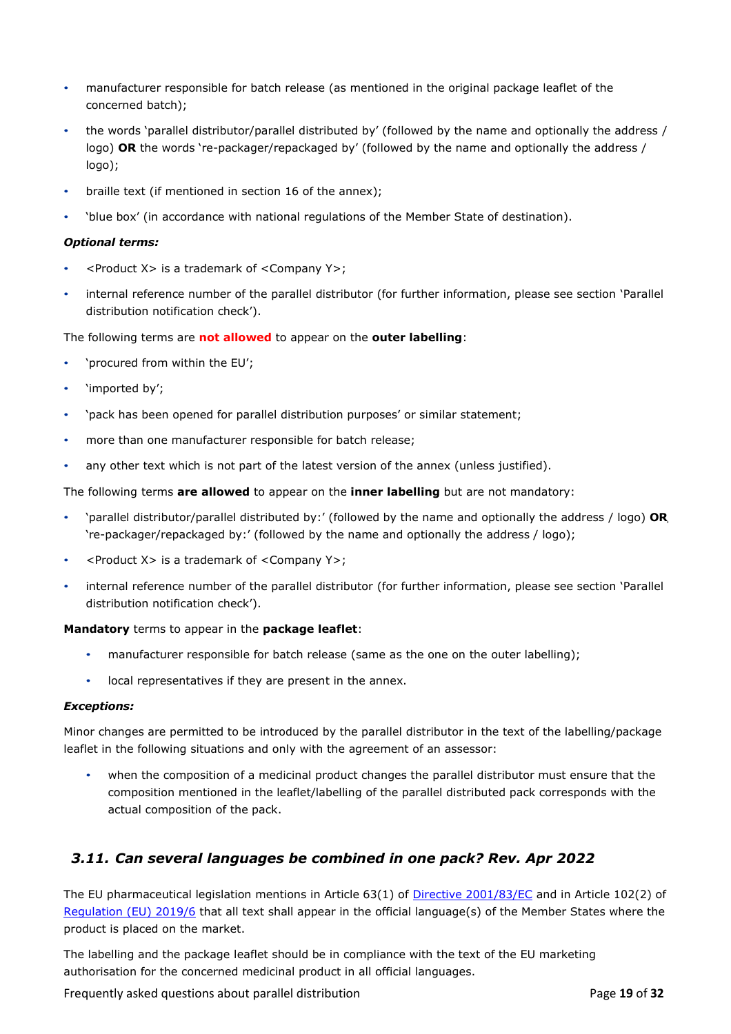- manufacturer responsible for batch release (as mentioned in the original package leaflet of the concerned batch);
- the words 'parallel distributor/parallel distributed by' (followed by the name and optionally the address / logo) **OR** the words 're-packager/repackaged by' (followed by the name and optionally the address / logo);
- braille text (if mentioned in section 16 of the annex);
- 'blue box' (in accordance with national regulations of the Member State of destination).

#### *Optional terms:*

- <Product X> is a trademark of <Company Y>;
- internal reference number of the parallel distributor (for further information, please see section ['Parallel](#page-15-0)  [distribution notification check'](#page-15-0)).

The following terms are **not allowed** to appear on the **outer labelling**:

- 'procured from within the EU';
- 'imported by';
- 'pack has been opened for parallel distribution purposes' or similar statement;
- more than one manufacturer responsible for batch release;
- any other text which is not part of the latest version of the annex (unless justified).

The following terms **are allowed** to appear on the **inner labelling** but are not mandatory:

- 'parallel distributor/parallel distributed by:' (followed by the name and optionally the address / logo) **OR** 're-packager/repackaged by:' (followed by the name and optionally the address / logo);
- <Product X> is a trademark of <Company Y>;
- internal reference number of the parallel distributor (for further information, please see section ['Parallel](#page-15-0)  [distribution notification check'](#page-15-0)).

#### **Mandatory** terms to appear in the **package leaflet**:

- manufacturer responsible for batch release (same as the one on the outer labelling);
- local representatives if they are present in the annex.

#### <span id="page-18-1"></span>*Exceptions:*

Minor changes are permitted to be introduced by the parallel distributor in the text of the labelling/package leaflet in the following situations and only with the agreement of an assessor:

• when the composition of a medicinal product changes the parallel distributor must ensure that the composition mentioned in the leaflet/labelling of the parallel distributed pack corresponds with the actual composition of the pack.

# <span id="page-18-0"></span>*3.11. Can several languages be combined in one pack? Rev. Apr 2022*

The EU pharmaceutical legislation mentions in Article 63(1) of [Directive 2001/83/EC](https://eur-lex.europa.eu/legal-content/EN/TXT/?uri=CELEX%3A02001L0083-20210526) and in Article 102(2) of [Regulation \(EU\) 2019/6](https://eur-lex.europa.eu/legal-content/EN/TXT/?uri=CELEX%3A02019R0006-20220128) that all text shall appear in the official language(s) of the Member States where the product is placed on the market.

The labelling and the package leaflet should be in compliance with the text of the EU marketing authorisation for the concerned medicinal product in all official languages.

Frequently asked questions about parallel distribution Page **19** of **32**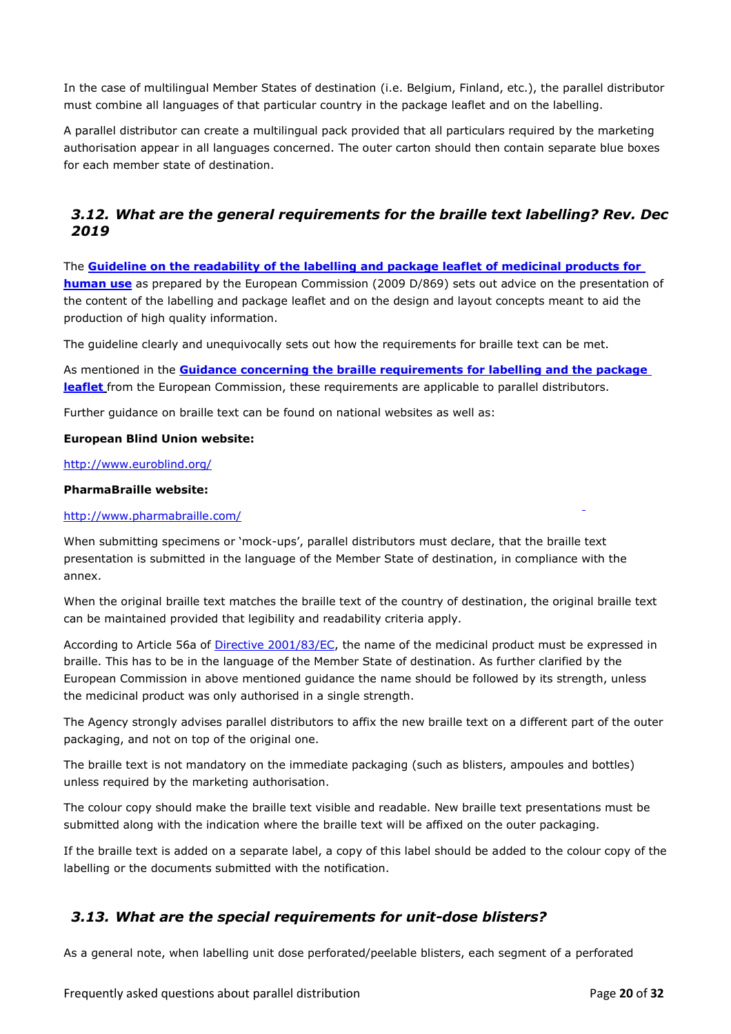In the case of multilingual Member States of destination (i.e. Belgium, Finland, etc.), the parallel distributor must combine all languages of that particular country in the package leaflet and on the labelling.

A parallel distributor can create a multilingual pack provided that all particulars required by the marketing authorisation appear in all languages concerned. The outer carton should then contain separate blue boxes for each member state of destination.

# <span id="page-19-0"></span>*3.12. What are the general requirements for the braille text labelling? Rev. Dec 2019*

The **[Guideline on the readability of the labelling and package leaflet of medicinal products for](http://ec.europa.eu/health/files/eudralex/vol-2/c/2009_01_12_readability_guideline_final_en.pdf)  [human use](http://ec.europa.eu/health/files/eudralex/vol-2/c/2009_01_12_readability_guideline_final_en.pdf)** as prepared by the European Commission (2009 D/869) sets out advice on the presentation of the content of the labelling and package leaflet and on the design and layout concepts meant to aid the production of high quality information.

The guideline clearly and unequivocally sets out how the requirements for braille text can be met.

As mentioned in the **[Guidance concerning the braille requirements for labelling and the package](http://ec.europa.eu/health/files/pharmacos/docs/doc2005/04_05/braille_text20050411_en.pdf)  [leaflet](http://ec.europa.eu/health/files/pharmacos/docs/doc2005/04_05/braille_text20050411_en.pdf)** from the European Commission, these requirements are applicable to parallel distributors.

Further guidance on braille text can be found on national websites as well as:

#### **European Blind Union website:**

#### <http://www.euroblind.org/>

#### **PharmaBraille website:**

#### <http://www.pharmabraille.com/>

When submitting specimens or 'mock-ups', parallel distributors must declare, that the braille text presentation is submitted in the language of the Member State of destination, in compliance with the annex.

When the original braille text matches the braille text of the country of destination, the original braille text can be maintained provided that legibility and readability criteria apply.

According to Article 56a of [Directive 2001/83/EC,](https://eur-lex.europa.eu/legal-content/EN/TXT/?uri=CELEX%3A02001L0083-20210526) the name of the medicinal product must be expressed in braille. This has to be in the language of the Member State of destination. As further clarified by the European Commission in above mentioned guidance the name should be followed by its strength, unless the medicinal product was only authorised in a single strength.

The Agency strongly advises parallel distributors to affix the new braille text on a different part of the outer packaging, and not on top of the original one.

The braille text is not mandatory on the immediate packaging (such as blisters, ampoules and bottles) unless required by the marketing authorisation.

The colour copy should make the braille text visible and readable. New braille text presentations must be submitted along with the indication where the braille text will be affixed on the outer packaging.

If the braille text is added on a separate label, a copy of this label should be added to the colour copy of the labelling or the documents submitted with the notification.

# <span id="page-19-1"></span>*3.13. What are the special requirements for unit-dose blisters?*

As a general note, when labelling unit dose perforated/peelable blisters, each segment of a perforated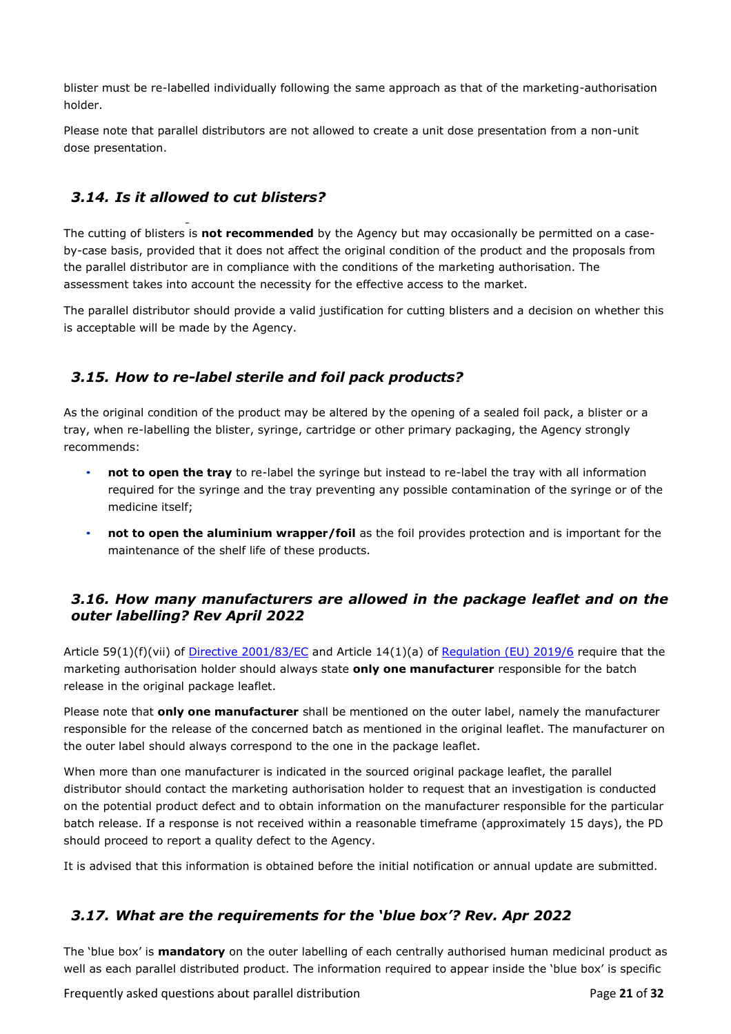blister must be re-labelled individually following the same approach as that of the marketing-authorisation holder.

Please note that parallel distributors are not allowed to create a unit dose presentation from a non-unit dose presentation.

# <span id="page-20-0"></span>*3.14. Is it allowed to cut blisters?*

The cutting of blisters is **not recommended** by the Agency but may occasionally be permitted on a caseby-case basis, provided that it does not affect the original condition of the product and the proposals from the parallel distributor are in compliance with the conditions of the marketing authorisation. The assessment takes into account the necessity for the effective access to the market.

The parallel distributor should provide a valid justification for cutting blisters and a decision on whether this is acceptable will be made by the Agency.

# <span id="page-20-1"></span>*3.15. How to re-label sterile and foil pack products?*

As the original condition of the product may be altered by the opening of a sealed foil pack, a blister or a tray, when re-labelling the blister, syringe, cartridge or other primary packaging, the Agency strongly recommends:

- **not to open the tray** to re-label the syringe but instead to re-label the tray with all information required for the syringe and the tray preventing any possible contamination of the syringe or of the medicine itself;
- **not to open the aluminium wrapper/foil** as the foil provides protection and is important for the maintenance of the shelf life of these products.

# <span id="page-20-2"></span>*3.16. How many manufacturers are allowed in the package leaflet and on the outer labelling? Rev April 2022*

Article 59(1)(f)(vii) of [Directive 2001/83/EC](https://eur-lex.europa.eu/legal-content/EN/TXT/?uri=CELEX%3A02001L0083-20210526) and Article 14(1)(a) of [Regulation \(EU\) 2019/6](https://eur-lex.europa.eu/legal-content/EN/TXT/?uri=CELEX%3A02019R0006-20220128) require that the marketing authorisation holder should always state **only one manufacturer** responsible for the batch release in the original package leaflet.

Please note that **only one manufacturer** shall be mentioned on the outer label, namely the manufacturer responsible for the release of the concerned batch as mentioned in the original leaflet. The manufacturer on the outer label should always correspond to the one in the package leaflet.

When more than one manufacturer is indicated in the sourced original package leaflet, the parallel distributor should contact the marketing authorisation holder to request that an investigation is conducted on the potential product defect and to obtain information on the manufacturer responsible for the particular batch release. If a response is not received within a reasonable timeframe (approximately 15 days), the PD should proceed to report a quality defect to the Agency.

It is advised that this information is obtained before the initial notification or annual update are submitted.

# <span id="page-20-3"></span>*3.17. What are the requirements for the 'blue box'? Rev. Apr 2022*

The 'blue box' is **mandatory** on the outer labelling of each centrally authorised human medicinal product as well as each parallel distributed product. The information required to appear inside the 'blue box' is specific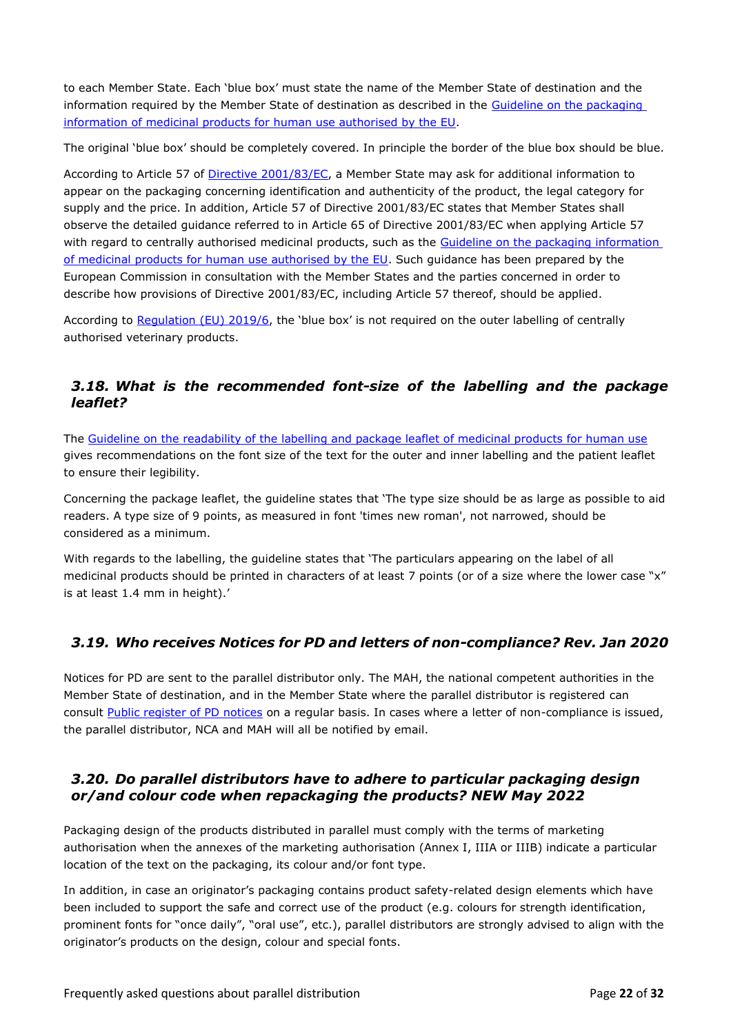to each Member State. Each 'blue box' must state the name of the Member State of destination and the information required by the Member State of destination as described in the Guideline on the packaging [information of medicinal products for human use authorised by the EU.](https://ec.europa.eu/health/system/files/2021-04/2018_packaging_guidelines_en_0.pdf)

The original 'blue box' should be completely covered. In principle the border of the blue box should be blue.

According to Article 57 of [Directive 2001/83/EC,](https://eur-lex.europa.eu/legal-content/EN/TXT/?uri=CELEX%3A02001L0083-20210526) a Member State may ask for additional information to appear on the packaging concerning identification and authenticity of the product, the legal category for supply and the price. In addition, Article 57 of Directive 2001/83/EC states that Member States shall observe the detailed guidance referred to in Article 65 of Directive 2001/83/EC when applying Article 57 with regard to centrally authorised medicinal products, such as the [Guideline on the packaging](https://ec.europa.eu/health/system/files/2021-04/2018_packaging_guidelines_en_0.pdf) [information](http://ec.europa.eu/health/files/eudralex/vol-2/2015-02_packaging.pdf)  [of medicinal products for human use authorised by the EU.](http://ec.europa.eu/health/files/eudralex/vol-2/2015-02_packaging.pdf) Such guidance has been prepared by the European Commission in consultation with the Member States and the parties concerned in order to describe how provisions of Directive 2001/83/EC, including Article 57 thereof, should be applied.

According to Requlation (EU) 2019/6, the 'blue box' is not required on the outer labelling of centrally authorised veterinary products.

# <span id="page-21-0"></span>*3.18. What is the recommended font-size of the labelling and the package leaflet?*

The [Guideline on the readability of the labelling and package leaflet of medicinal products for human use](http://ec.europa.eu/health/files/eudralex/vol-2/c/2009_01_12_readability_guideline_final_en.pdf) gives recommendations on the font size of the text for the outer and inner labelling and the patient leaflet to ensure their legibility.

Concerning the package leaflet, the guideline states that 'The type size should be as large as possible to aid readers. A type size of 9 points, as measured in font 'times new roman', not narrowed, should be considered as a minimum.

With regards to the labelling, the guideline states that 'The particulars appearing on the label of all medicinal products should be printed in characters of at least 7 points (or of a size where the lower case "x" is at least 1.4 mm in height).'

# <span id="page-21-1"></span>*3.19. Who receives Notices for PD and letters of non-compliance? Rev. Jan 2020*

Notices for PD are sent to the parallel distributor only. The MAH, the national competent authorities in the Member State of destination, and in the Member State where the parallel distributor is registered can consult [Public register of PD notices](https://fmapps.emea.europa.eu/paradist/) on a regular basis. In cases where a letter of non-compliance is issued, the parallel distributor, NCA and MAH will all be notified by email.

# <span id="page-21-2"></span>*3.20. Do parallel distributors have to adhere to particular packaging design or/and colour code when repackaging the products? NEW May 2022*

Packaging design of the products distributed in parallel must comply with the terms of marketing authorisation when the annexes of the marketing authorisation (Annex I, IIIA or IIIB) indicate a particular location of the text on the packaging, its colour and/or font type.

In addition, in case an originator's packaging contains product safety-related design elements which have been included to support the safe and correct use of the product (e.g. colours for strength identification, prominent fonts for "once daily", "oral use", etc.), parallel distributors are strongly advised to align with the originator's products on the design, colour and special fonts.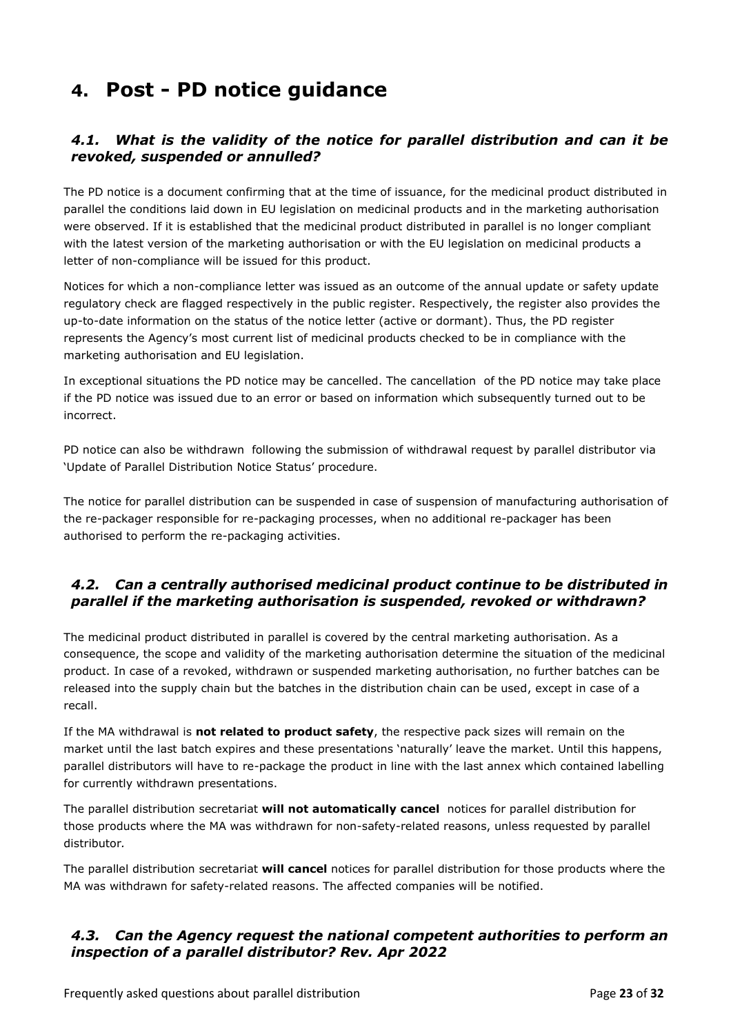# <span id="page-22-0"></span>**4. Post - PD notice guidance**

# <span id="page-22-1"></span>*4.1. What is the validity of the notice for parallel distribution and can it be revoked, suspended or annulled?*

The PD notice is a document confirming that at the time of issuance, for the medicinal product distributed in parallel the conditions laid down in EU legislation on medicinal products and in the marketing authorisation were observed. If it is established that the medicinal product distributed in parallel is no longer compliant with the latest version of the marketing authorisation or with the EU legislation on medicinal products a letter of non-compliance will be issued for this product.

Notices for which a non-compliance letter was issued as an outcome of the annual update or safety update regulatory check are flagged respectively in the public register. Respectively, the register also provides the up-to-date information on the status of the notice letter (active or dormant). Thus, the PD register represents the Agency's most current list of medicinal products checked to be in compliance with the marketing authorisation and EU legislation.

In exceptional situations the PD notice may be cancelled. The cancellation of the PD notice may take place if the PD notice was issued due to an error or based on information which subsequently turned out to be incorrect.

PD notice can also be withdrawn following the submission of withdrawal request by parallel distributor via 'Update of Parallel Distribution Notice Status' procedure.

The notice for parallel distribution can be suspended in case of suspension of manufacturing authorisation of the re-packager responsible for re-packaging processes, when no additional re-packager has been authorised to perform the re-packaging activities.

# <span id="page-22-2"></span>*4.2. Can a centrally authorised medicinal product continue to be distributed in parallel if the marketing authorisation is suspended, revoked or withdrawn?*

The medicinal product distributed in parallel is covered by the central marketing authorisation. As a consequence, the scope and validity of the marketing authorisation determine the situation of the medicinal product. In case of a revoked, withdrawn or suspended marketing authorisation, no further batches can be released into the supply chain but the batches in the distribution chain can be used, except in case of a recall.

If the MA withdrawal is **not related to product safety**, the respective pack sizes will remain on the market until the last batch expires and these presentations 'naturally' leave the market. Until this happens, parallel distributors will have to re-package the product in line with the last annex which contained labelling for currently withdrawn presentations.

The parallel distribution secretariat **will not automatically cancel** notices for parallel distribution for those products where the MA was withdrawn for non-safety-related reasons, unless requested by parallel distributor*.*

The parallel distribution secretariat **will cancel** notices for parallel distribution for those products where the MA was withdrawn for safety-related reasons. The affected companies will be notified.

# <span id="page-22-3"></span>*4.3. Can the Agency request the national competent authorities to perform an inspection of a parallel distributor? Rev. Apr 2022*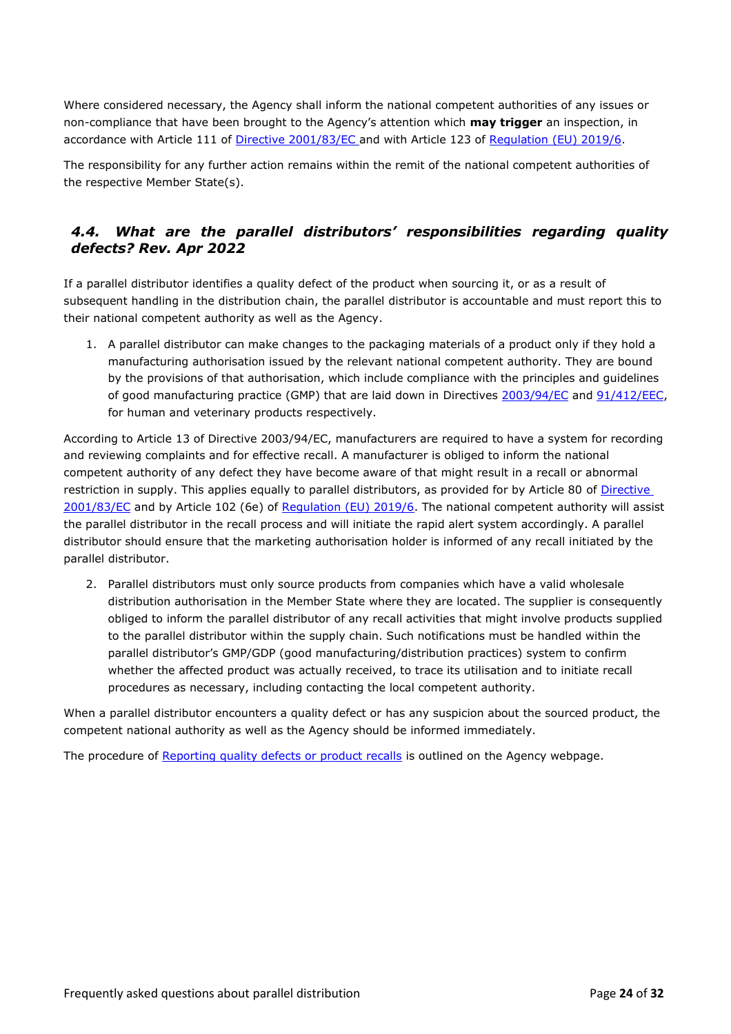Where considered necessary, the Agency shall inform the national competent authorities of any issues or non-compliance that have been brought to the Agency's attention which **may trigger** an inspection, in accordance with Article 111 of [Directive 2001/83/EC](https://eur-lex.europa.eu/legal-content/EN/TXT/?uri=CELEX%3A02001L0083-20210526) and with Article 123 of [Regulation \(EU\) 2019/6.](https://eur-lex.europa.eu/legal-content/EN/TXT/?uri=CELEX%3A02019R0006-20220128)

The responsibility for any further action remains within the remit of the national competent authorities of the respective Member State(s).

# <span id="page-23-0"></span>*4.4. What are the parallel distributors' responsibilities regarding quality defects? Rev. Apr 2022*

If a parallel distributor identifies a quality defect of the product when sourcing it, or as a result of subsequent handling in the distribution chain, the parallel distributor is accountable and must report this to their national competent authority as well as the Agency.

1. A parallel distributor can make changes to the packaging materials of a product only if they hold a manufacturing authorisation issued by the relevant national competent authority. They are bound by the provisions of that authorisation, which include compliance with the principles and guidelines of good manufacturing practice (GMP) that are laid down in Directives [2003/94/EC](https://eur-lex.europa.eu/legal-content/EN/TXT/?uri=celex%3A32003L0094) and [91/412/EEC,](https://eur-lex.europa.eu/legal-content/EN/ALL/?uri=CELEX%3A31991L0412) for human and veterinary products respectively.

According to Article 13 of Directive 2003/94/EC, manufacturers are required to have a system for recording and reviewing complaints and for effective recall. A manufacturer is obliged to inform the national competent authority of any defect they have become aware of that might result in a recall or abnormal restriction in supply. This applies equally to parallel distributors, as provided for by Article 80 of [Directive](https://eur-lex.europa.eu/legal-content/EN/TXT/?uri=CELEX%3A02001L0083-20210526)  [2001/83/EC](https://eur-lex.europa.eu/legal-content/EN/TXT/?uri=CELEX%3A02001L0083-20210526) and by Article 102 (6e) of [Regulation \(EU\) 2019/6.](https://eur-lex.europa.eu/legal-content/EN/TXT/?uri=CELEX%3A02019R0006-20220128) The national competent authority will assist the parallel distributor in the recall process and will initiate the rapid alert system accordingly. A parallel distributor should ensure that the marketing authorisation holder is informed of any recall initiated by the parallel distributor.

2. Parallel distributors must only source products from companies which have a valid wholesale distribution authorisation in the Member State where they are located. The supplier is consequently obliged to inform the parallel distributor of any recall activities that might involve products supplied to the parallel distributor within the supply chain. Such notifications must be handled within the parallel distributor's GMP/GDP (good manufacturing/distribution practices) system to confirm whether the affected product was actually received, to trace its utilisation and to initiate recall procedures as necessary, including contacting the local competent authority.

When a parallel distributor encounters a quality defect or has any suspicion about the sourced product, the competent national authority as well as the Agency should be informed immediately.

The procedure of [Reporting quality defects or product recalls](https://www.ema.europa.eu/en/human-regulatory/post-authorisation/compliance/quality-defects-recalls/reporting-quality-defect-ema) is outlined on the Agency webpage.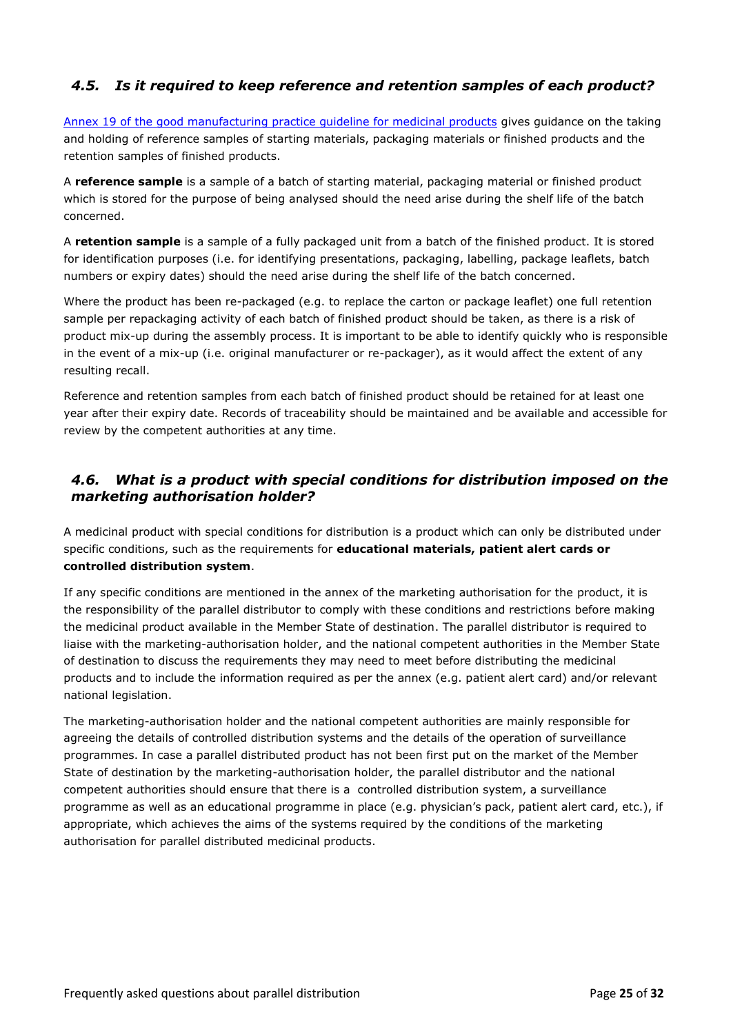# <span id="page-24-0"></span>*4.5. Is it required to keep reference and retention samples of each product?*

[Annex 19 of the good manufacturing practice guideline for medicinal products](https://ec.europa.eu/health/sites/health/files/files/eudralex/vol-4/pdfs-en/2005_12_14_annex19_en.pdf) gives guidance on the taking and holding of reference samples of starting materials, packaging materials or finished products and the retention samples of finished products.

A **reference sample** is a sample of a batch of starting material, packaging material or finished product which is stored for the purpose of being analysed should the need arise during the shelf life of the batch concerned.

A **retention sample** is a sample of a fully packaged unit from a batch of the finished product. It is stored for identification purposes (i.e. for identifying presentations, packaging, labelling, package leaflets, batch numbers or expiry dates) should the need arise during the shelf life of the batch concerned.

Where the product has been re-packaged (e.g. to replace the carton or package leaflet) one full retention sample per repackaging activity of each batch of finished product should be taken, as there is a risk of product mix-up during the assembly process. It is important to be able to identify quickly who is responsible in the event of a mix-up (i.e. original manufacturer or re-packager), as it would affect the extent of any resulting recall.

Reference and retention samples from each batch of finished product should be retained for at least one year after their expiry date. Records of traceability should be maintained and be available and accessible for review by the competent authorities at any time.

# <span id="page-24-1"></span>*4.6. What is a product with special conditions for distribution imposed on the marketing authorisation holder?*

A medicinal product with special conditions for distribution is a product which can only be distributed under specific conditions, such as the requirements for **educational materials, patient alert cards or controlled distribution system**.

If any specific conditions are mentioned in the annex of the marketing authorisation for the product, it is the responsibility of the parallel distributor to comply with these conditions and restrictions before making the medicinal product available in the Member State of destination. The parallel distributor is required to liaise with the marketing-authorisation holder, and the national competent authorities in the Member State of destination to discuss the requirements they may need to meet before distributing the medicinal products and to include the information required as per the annex (e.g. patient alert card) and/or relevant national legislation.

The marketing-authorisation holder and the national competent authorities are mainly responsible for agreeing the details of controlled distribution systems and the details of the operation of surveillance programmes. In case a parallel distributed product has not been first put on the market of the Member State of destination by the marketing-authorisation holder, the parallel distributor and the national competent authorities should ensure that there is a controlled distribution system, a surveillance programme as well as an educational programme in place (e.g. physician's pack, patient alert card, etc.), if appropriate, which achieves the aims of the systems required by the conditions of the marketing authorisation for parallel distributed medicinal products.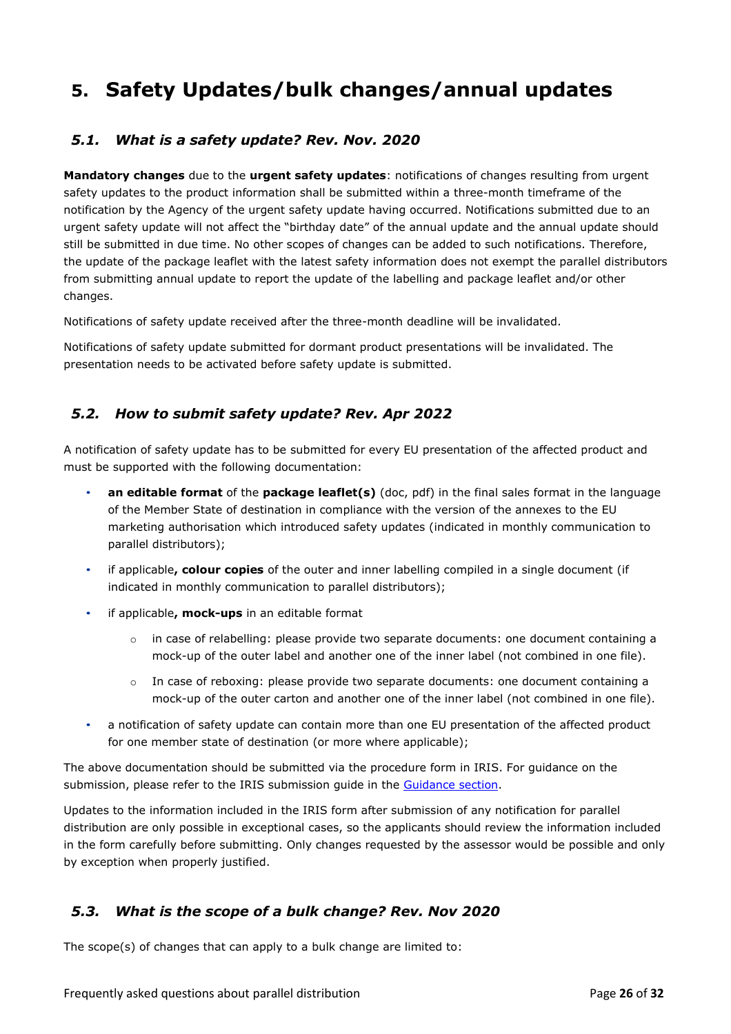# <span id="page-25-0"></span>**5. Safety Updates/bulk changes/annual updates**

# <span id="page-25-1"></span>*5.1. What is a safety update? Rev. Nov. 2020*

**Mandatory changes** due to the **urgent safety updates**: notifications of changes resulting from urgent safety updates to the product information shall be submitted within a three-month timeframe of the notification by the Agency of the urgent safety update having occurred. Notifications submitted due to an urgent safety update will not affect the "birthday date" of the annual update and the annual update should still be submitted in due time. No other scopes of changes can be added to such notifications. Therefore, the update of the package leaflet with the latest safety information does not exempt the parallel distributors from submitting annual update to report the update of the labelling and package leaflet and/or other changes.

Notifications of safety update received after the three-month deadline will be invalidated.

Notifications of safety update submitted for dormant product presentations will be invalidated. The presentation needs to be activated before safety update is submitted.

# <span id="page-25-2"></span>*5.2. How to submit safety update? Rev. Apr 2022*

A notification of safety update has to be submitted for every EU presentation of the affected product and must be supported with the following documentation:

- **an editable format** of the **package leaflet(s)** (doc, pdf) in the final sales format in the language of the Member State of destination in compliance with the version of the annexes to the EU marketing authorisation which introduced safety updates (indicated in monthly communication to parallel distributors);
- if applicable**, colour copies** of the outer and inner labelling compiled in a single document (if indicated in monthly communication to parallel distributors);
- if applicable**, mock-ups** in an editable format
	- o in case of relabelling: please provide two separate documents: one document containing a mock-up of the outer label and another one of the inner label (not combined in one file).
	- o In case of reboxing: please provide two separate documents: one document containing a mock-up of the outer carton and another one of the inner label (not combined in one file).
- a notification of safety update can contain more than one EU presentation of the affected product for one member state of destination (or more where applicable);

The above documentation should be submitted via the procedure form in IRIS. For guidance on the submission, please refer to the IRIS submission guide in the [Guidance section.](https://www.ema.europa.eu/en/human-regulatory/post-authorisation/parallel-distribution/parallel-distribution-regulatory-procedural-guidance)

Updates to the information included in the IRIS form after submission of any notification for parallel distribution are only possible in exceptional cases, so the applicants should review the information included in the form carefully before submitting. Only changes requested by the assessor would be possible and only by exception when properly justified.

# <span id="page-25-3"></span>*5.3. What is the scope of a bulk change? Rev. Nov 2020*

The scope(s) of changes that can apply to a bulk change are limited to: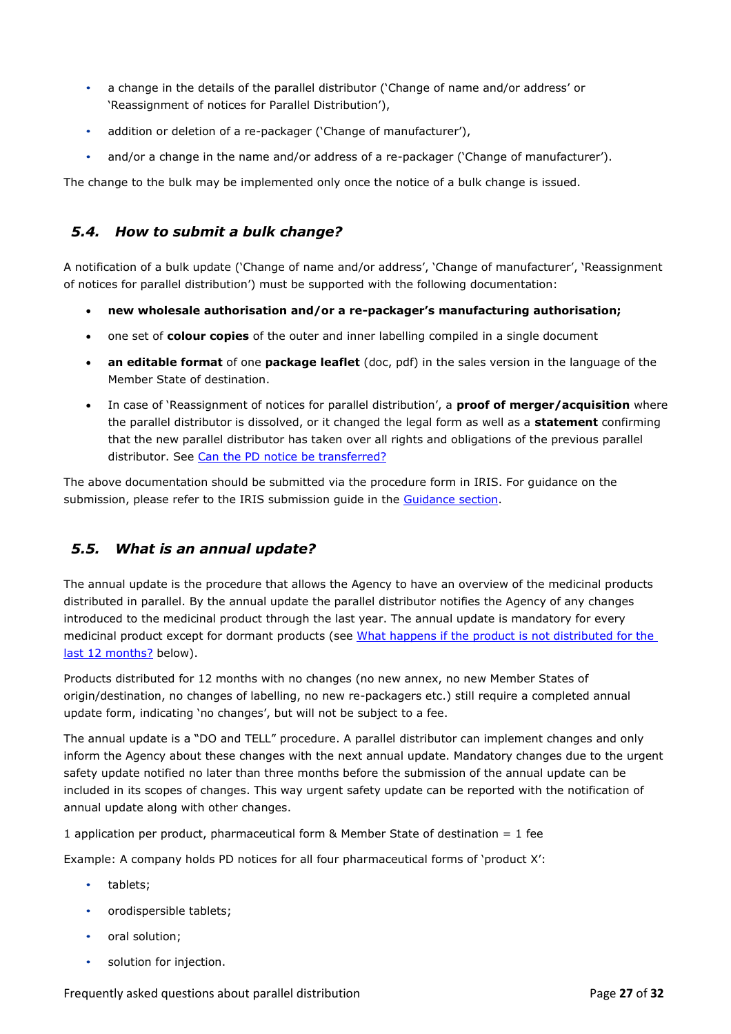- a change in the details of the parallel distributor ('Change of name and/or address' or 'Reassignment of notices for Parallel Distribution'),
- addition or deletion of a re-packager ('Change of manufacturer'),
- and/or a change in the name and/or address of a re-packager ('Change of manufacturer').

The change to the bulk may be implemented only once the notice of a bulk change is issued.

# <span id="page-26-0"></span>*5.4. How to submit a bulk change?*

A notification of a bulk update ('Change of name and/or address', 'Change of manufacturer', 'Reassignment of notices for parallel distribution') must be supported with the following documentation:

- **new wholesale authorisation and/or a re-packager's manufacturing authorisation;**
- one set of **colour copies** of the outer and inner labelling compiled in a single document
- **an editable format** of one **package leaflet** (doc, pdf) in the sales version in the language of the Member State of destination.
- In case of 'Reassignment of notices for parallel distribution', a **proof of merger/acquisition** where the parallel distributor is dissolved, or it changed the legal form as well as a **statement** confirming that the new parallel distributor has taken over all rights and obligations of the previous parallel distributor. See [Can the PD notice be transferred?](#page-10-1)

The above documentation should be submitted via the procedure form in IRIS. For guidance on the submission, please refer to the IRIS submission guide in the [Guidance section.](https://www.ema.europa.eu/en/human-regulatory/post-authorisation/parallel-distribution/parallel-distribution-regulatory-procedural-guidance)

# <span id="page-26-1"></span>*5.5. What is an annual update?*

The annual update is the procedure that allows the Agency to have an overview of the medicinal products distributed in parallel. By the annual update the parallel distributor notifies the Agency of any changes introduced to the medicinal product through the last year. The annual update is mandatory for every medicinal product except for dormant products (see What happens if the product is not distributed for the [last 12 months?](#page-27-1) below).

Products distributed for 12 months with no changes (no new annex, no new Member States of origin/destination, no changes of labelling, no new re-packagers etc.) still require a completed annual update form, indicating 'no changes', but will not be subject to a fee.

The annual update is a "DO and TELL" procedure. A parallel distributor can implement changes and only inform the Agency about these changes with the next annual update. Mandatory changes due to the urgent safety update notified no later than three months before the submission of the annual update can be included in its scopes of changes. This way urgent safety update can be reported with the notification of annual update along with other changes.

1 application per product, pharmaceutical form & Member State of destination = 1 fee

Example: A company holds PD notices for all four pharmaceutical forms of 'product X':

- tablets;
- orodispersible tablets;
- oral solution;
- solution for injection.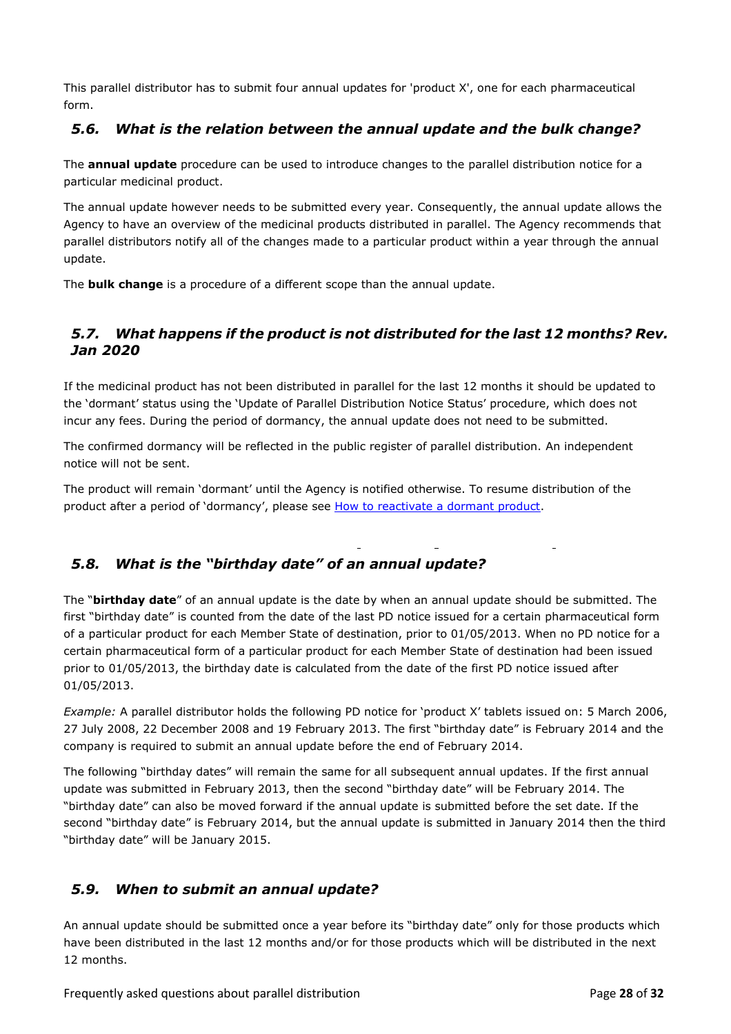This parallel distributor has to submit four annual updates for 'product X', one for each pharmaceutical form.

# <span id="page-27-0"></span>*5.6. What is the relation between the annual update and the bulk change?*

The **annual update** procedure can be used to introduce changes to the parallel distribution notice for a particular medicinal product.

The annual update however needs to be submitted every year. Consequently, the annual update allows the Agency to have an overview of the medicinal products distributed in parallel. The Agency recommends that parallel distributors notify all of the changes made to a particular product within a year through the annual update.

The **bulk change** is a procedure of a different scope than the annual update.

# <span id="page-27-1"></span>*5.7. What happens if the product is not distributed for the last 12 months? Rev. Jan 2020*

If the medicinal product has not been distributed in parallel for the last 12 months it should be updated to the 'dormant' status using the 'Update of Parallel Distribution Notice Status' procedure, which does not incur any fees. During the period of dormancy, the annual update does not need to be submitted.

The confirmed dormancy will be reflected in the public register of parallel distribution. An independent notice will not be sent.

The product will remain 'dormant' until the Agency is notified otherwise. To resume distribution of the product after a period of 'dormancy', please see [How to reactivate a dormant product.](#page-29-0)

# <span id="page-27-2"></span>*5.8. What is the "birthday date" of an annual update?*

The "**birthday date**" of an annual update is the date by when an annual update should be submitted. The first "birthday date" is counted from the date of the last PD notice issued for a certain pharmaceutical form of a particular product for each Member State of destination, prior to 01/05/2013. When no PD notice for a certain pharmaceutical form of a particular product for each Member State of destination had been issued prior to 01/05/2013, the birthday date is calculated from the date of the first PD notice issued after 01/05/2013.

*Example:* A parallel distributor holds the following PD notice for 'product X' tablets issued on: 5 March 2006, 27 July 2008, 22 December 2008 and 19 February 2013. The first "birthday date" is February 2014 and the company is required to submit an annual update before the end of February 2014.

The following "birthday dates" will remain the same for all subsequent annual updates. If the first annual update was submitted in February 2013, then the second "birthday date" will be February 2014. The "birthday date" can also be moved forward if the annual update is submitted before the set date. If the second "birthday date" is February 2014, but the annual update is submitted in January 2014 then the third "birthday date" will be January 2015.

# <span id="page-27-3"></span>*5.9. When to submit an annual update?*

An annual update should be submitted once a year before its "birthday date" only for those products which have been distributed in the last 12 months and/or for those products which will be distributed in the next 12 months.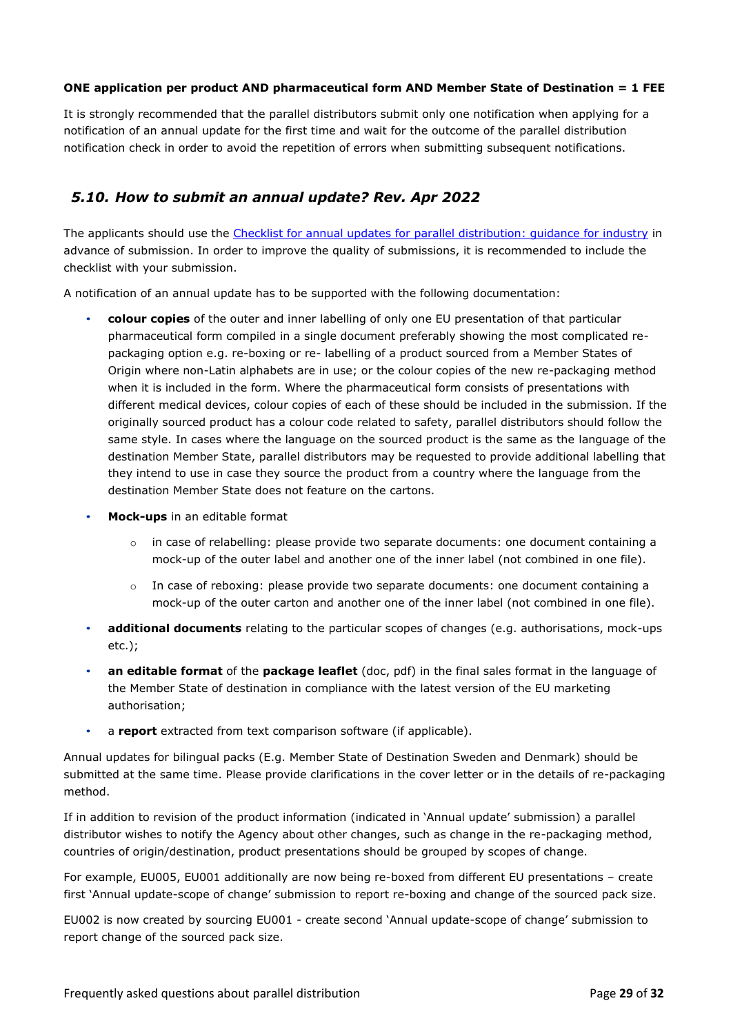#### **ONE application per product AND pharmaceutical form AND Member State of Destination = 1 FEE**

It is strongly recommended that the parallel distributors submit only one notification when applying for a notification of an annual update for the first time and wait for the outcome of the parallel distribution notification check in order to avoid the repetition of errors when submitting subsequent notifications.

### <span id="page-28-0"></span>*5.10. How to submit an annual update? Rev. Apr 2022*

The applicants should use the [Checklist for annual updates for parallel distribution: guidance for industry](https://www.ema.europa.eu/en/documents/regulatory-procedural-guideline/checklist-annual-updates-parallel-distribution_en.pdf) in advance of submission. In order to improve the quality of submissions, it is recommended to include the checklist with your submission.

A notification of an annual update has to be supported with the following documentation:

- **colour copies** of the outer and inner labelling of only one EU presentation of that particular pharmaceutical form compiled in a single document preferably showing the most complicated repackaging option e.g. re-boxing or re- labelling of a product sourced from a Member States of Origin where non-Latin alphabets are in use; or the colour copies of the new re-packaging method when it is included in the form. Where the pharmaceutical form consists of presentations with different medical devices, colour copies of each of these should be included in the submission. If the originally sourced product has a colour code related to safety, parallel distributors should follow the same style. In cases where the language on the sourced product is the same as the language of the destination Member State, parallel distributors may be requested to provide additional labelling that they intend to use in case they source the product from a country where the language from the destination Member State does not feature on the cartons.
- **Mock-ups** in an editable format
	- $\circ$  in case of relabelling: please provide two separate documents: one document containing a mock-up of the outer label and another one of the inner label (not combined in one file).
	- $\circ$  In case of reboxing: please provide two separate documents: one document containing a mock-up of the outer carton and another one of the inner label (not combined in one file).
- **additional documents** relating to the particular scopes of changes (e.g. authorisations, mock-ups etc.);
- **an editable format** of the **package leaflet** (doc, pdf) in the final sales format in the language of the Member State of destination in compliance with the latest version of the EU marketing authorisation;
- a **report** extracted from text comparison software (if applicable).

Annual updates for bilingual packs (E.g. Member State of Destination Sweden and Denmark) should be submitted at the same time. Please provide clarifications in the cover letter or in the details of re-packaging method.

If in addition to revision of the product information (indicated in 'Annual update' submission) a parallel distributor wishes to notify the Agency about other changes, such as change in the re-packaging method, countries of origin/destination, product presentations should be grouped by scopes of change.

For example, EU005, EU001 additionally are now being re-boxed from different EU presentations – create first 'Annual update-scope of change' submission to report re-boxing and change of the sourced pack size.

EU002 is now created by sourcing EU001 - create second 'Annual update-scope of change' submission to report change of the sourced pack size.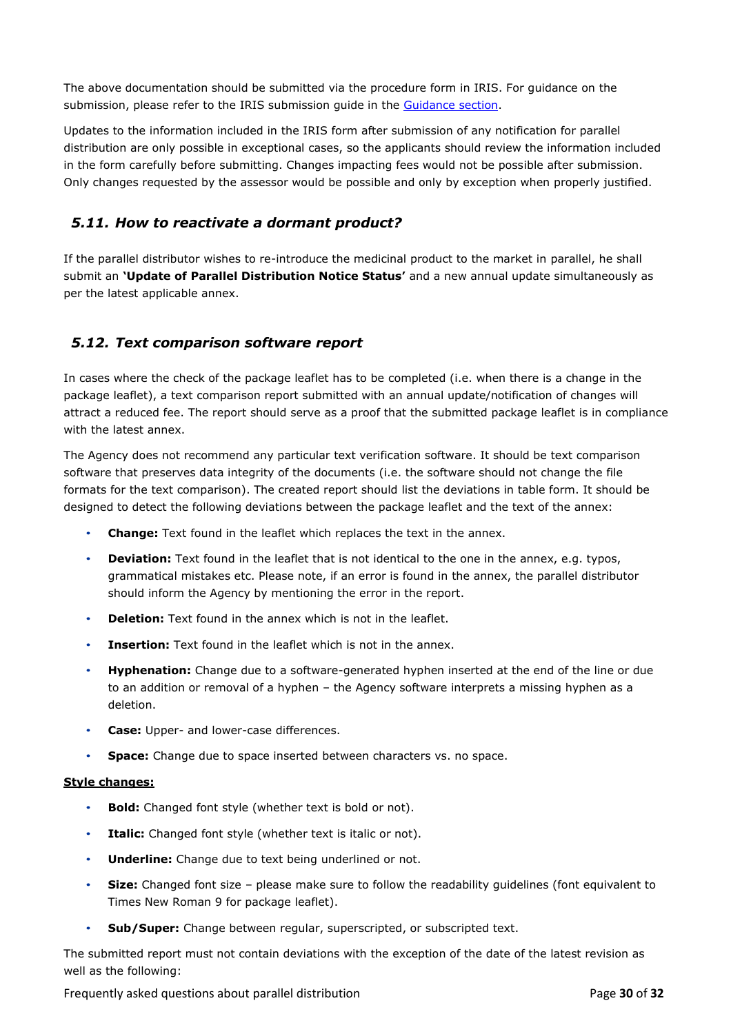The above documentation should be submitted via the procedure form in IRIS. For guidance on the submission, please refer to the IRIS submission guide in the [Guidance section.](https://www.ema.europa.eu/en/human-regulatory/post-authorisation/parallel-distribution/parallel-distribution-regulatory-procedural-guidance)

Updates to the information included in the IRIS form after submission of any notification for parallel distribution are only possible in exceptional cases, so the applicants should review the information included in the form carefully before submitting. Changes impacting fees would not be possible after submission. Only changes requested by the assessor would be possible and only by exception when properly justified.

# <span id="page-29-0"></span>*5.11. How to reactivate a dormant product?*

If the parallel distributor wishes to re-introduce the medicinal product to the market in parallel, he shall submit an **'Update of Parallel Distribution Notice Status'** and a new annual update simultaneously as per the latest applicable annex.

# <span id="page-29-1"></span>*5.12. Text comparison software report*

In cases where the check of the package leaflet has to be completed (i.e. when there is a change in the package leaflet), a text comparison report submitted with an annual update/notification of changes will attract a reduced fee. The report should serve as a proof that the submitted package leaflet is in compliance with the latest annex.

The Agency does not recommend any particular text verification software. It should be text comparison software that preserves data integrity of the documents (i.e. the software should not change the file formats for the text comparison). The created report should list the deviations in table form. It should be designed to detect the following deviations between the package leaflet and the text of the annex:

- **Change:** Text found in the leaflet which replaces the text in the annex.
- **Deviation:** Text found in the leaflet that is not identical to the one in the annex, e.g. typos, grammatical mistakes etc. Please note, if an error is found in the annex, the parallel distributor should inform the Agency by mentioning the error in the report.
- **Deletion:** Text found in the annex which is not in the leaflet.
- **Insertion:** Text found in the leaflet which is not in the annex.
- **Hyphenation:** Change due to a software-generated hyphen inserted at the end of the line or due to an addition or removal of a hyphen – the Agency software interprets a missing hyphen as a deletion.
- **Case:** Upper- and lower-case differences.
- **Space:** Change due to space inserted between characters vs. no space.

#### **Style changes:**

- **Bold:** Changed font style (whether text is bold or not).
- **Italic:** Changed font style (whether text is italic or not).
- **Underline:** Change due to text being underlined or not.
- **Size:** Changed font size please make sure to follow the readability guidelines (font equivalent to Times New Roman 9 for package leaflet).
- **Sub/Super:** Change between regular, superscripted, or subscripted text.

The submitted report must not contain deviations with the exception of the date of the latest revision as well as the following:

Frequently asked questions about parallel distribution Page **30** of **32**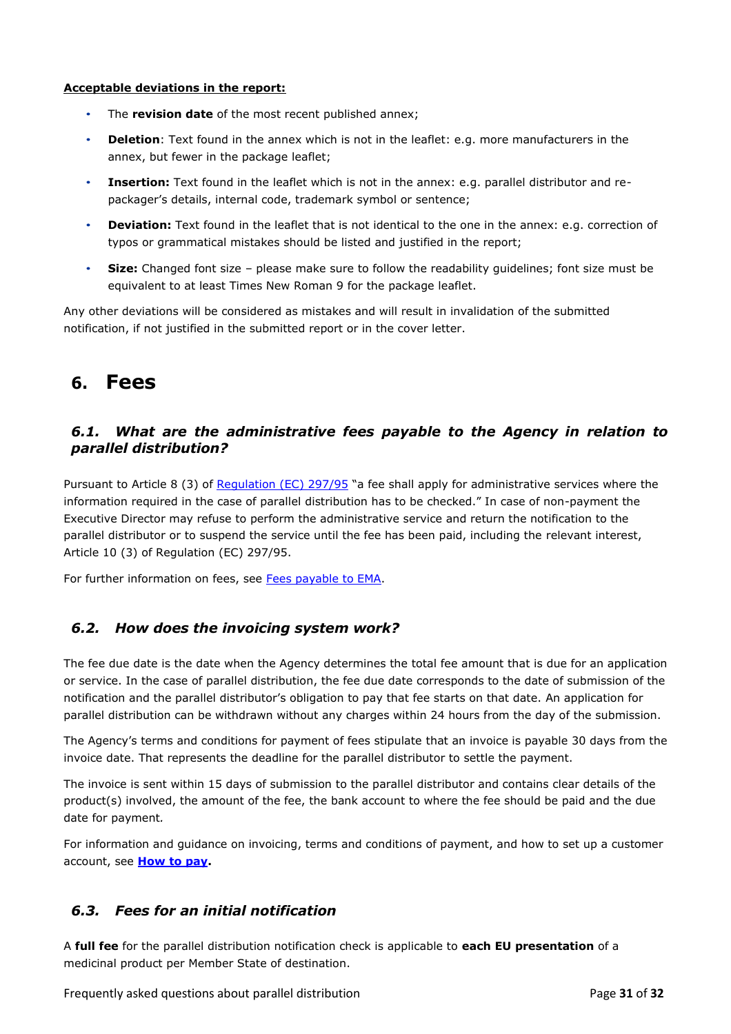#### **Acceptable deviations in the report:**

- The **revision date** of the most recent published annex;
- **Deletion**: Text found in the annex which is not in the leaflet: e.g. more manufacturers in the annex, but fewer in the package leaflet;
- **Insertion:** Text found in the leaflet which is not in the annex: e.g. parallel distributor and repackager's details, internal code, trademark symbol or sentence;
- **Deviation:** Text found in the leaflet that is not identical to the one in the annex: e.g. correction of typos or grammatical mistakes should be listed and justified in the report;
- **Size:** Changed font size please make sure to follow the readability guidelines; font size must be equivalent to at least Times New Roman 9 for the package leaflet.

Any other deviations will be considered as mistakes and will result in invalidation of the submitted notification, if not justified in the submitted report or in the cover letter.

# <span id="page-30-0"></span>**6. Fees**

# <span id="page-30-1"></span>*6.1. What are the administrative fees payable to the Agency in relation to parallel distribution?*

Pursuant to Article 8 (3) of [Regulation \(EC\) 297/95](https://eur-lex.europa.eu/legal-content/EN/TXT/?uri=celex%3A01995R0297-20180401) "a fee shall apply for administrative services where the information required in the case of parallel distribution has to be checked." In case of non-payment the Executive Director may refuse to perform the administrative service and return the notification to the parallel distributor or to suspend the service until the fee has been paid, including the relevant interest, Article 10 (3) of Regulation (EC) 297/95.

For further information on fees, see [Fees payable to EMA.](https://www.ema.europa.eu/en/human-regulatory/overview/fees-payable-european-medicines-agency)

# <span id="page-30-2"></span>*6.2. How does the invoicing system work?*

The fee due date is the date when the Agency determines the total fee amount that is due for an application or service. In the case of parallel distribution, the fee due date corresponds to the date of submission of the notification and the parallel distributor's obligation to pay that fee starts on that date. An application for parallel distribution can be withdrawn without any charges within 24 hours from the day of the submission.

The Agency's terms and conditions for payment of fees stipulate that an invoice is payable 30 days from the invoice date. That represents the deadline for the parallel distributor to settle the payment.

The invoice is sent within 15 days of submission to the parallel distributor and contains clear details of the product(s) involved, the amount of the fee, the bank account to where the fee should be paid and the due date for payment*.*

For information and guidance on invoicing, terms and conditions of payment, and how to set up a customer account, see **[How to pay.](https://www.ema.europa.eu/en/human-regulatory/overview/fees/how-pay)**

# <span id="page-30-3"></span>*6.3. Fees for an initial notification*

A **full fee** for the parallel distribution notification check is applicable to **each EU presentation** of a medicinal product per Member State of destination.

Frequently asked questions about parallel distribution Page **31** of **32**